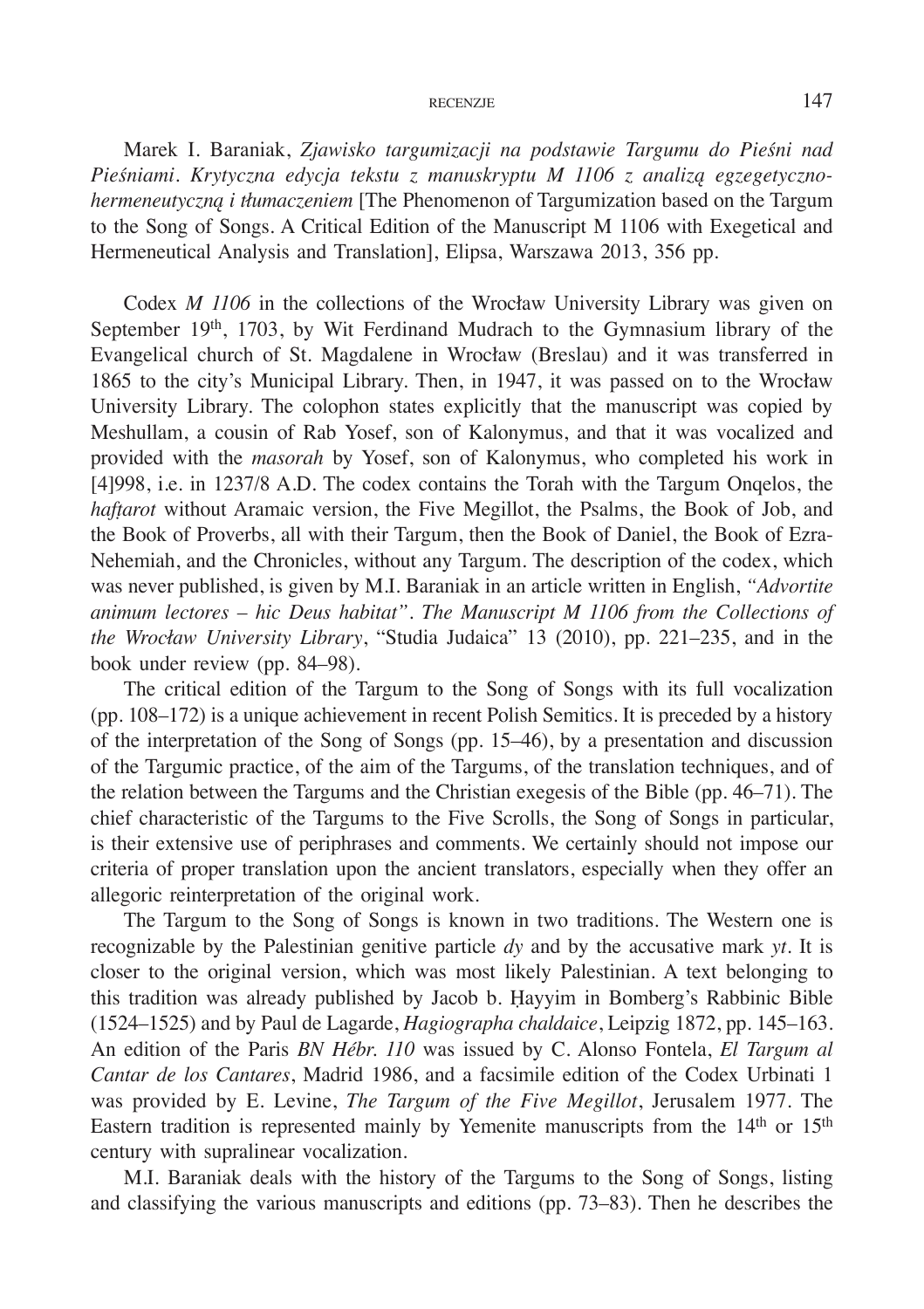Marek I. Baraniak, *Zjawisko targumizacji na podstawie Targumu do Pieśni nad Pieśniami. Krytyczna edycja tekstu z manuskryptu M 1106 z analizą egzegetycznohermeneutyczną i tłumaczeniem* [The Phenomenon of Targumization based on the Targum to the Song of Songs. A Critical Edition of the Manuscript M 1106 with Exegetical and Hermeneutical Analysis and Translation], Elipsa, Warszawa 2013, 356 pp.

Codex *M 1106* in the collections of the Wrocław University Library was given on September 19th, 1703, by Wit Ferdinand Mudrach to the Gymnasium library of the Evangelical church of St. Magdalene in Wrocław (Breslau) and it was transferred in 1865 to the city's Municipal Library. Then, in 1947, it was passed on to the Wrocław University Library. The colophon states explicitly that the manuscript was copied by Meshullam, a cousin of Rab Yosef, son of Kalonymus, and that it was vocalized and provided with the *masorah* by Yosef, son of Kalonymus, who completed his work in [4]998, i.e. in 1237/8 A.D. The codex contains the Torah with the Targum Onqelos, the *hafṭarot* without Aramaic version, the Five Megillot, the Psalms, the Book of Job, and the Book of Proverbs, all with their Targum, then the Book of Daniel, the Book of Ezra-Nehemiah, and the Chronicles, without any Targum. The description of the codex, which was never published, is given by M.I. Baraniak in an article written in English, *"Advortite animum lectores – hic Deus habitat". The Manuscript M 1106 from the Collections of the Wrocław University Library*, "Studia Judaica" 13 (2010), pp. 221–235, and in the book under review (pp. 84–98).

The critical edition of the Targum to the Song of Songs with its full vocalization (pp. 108–172) is a unique achievement in recent Polish Semitics. It is preceded by a history of the interpretation of the Song of Songs (pp. 15–46), by a presentation and discussion of the Targumic practice, of the aim of the Targums, of the translation techniques, and of the relation between the Targums and the Christian exegesis of the Bible (pp. 46–71). The chief characteristic of the Targums to the Five Scrolls, the Song of Songs in particular, is their extensive use of periphrases and comments. We certainly should not impose our criteria of proper translation upon the ancient translators, especially when they offer an allegoric reinterpretation of the original work.

The Targum to the Song of Songs is known in two traditions. The Western one is recognizable by the Palestinian genitive particle *dy* and by the accusative mark *yt*. It is closer to the original version, which was most likely Palestinian. A text belonging to this tradition was already published by Jacob b. Ḥayyim in Bomberg's Rabbinic Bible (1524–1525) and by Paul de Lagarde, *Hagiographa chaldaice*, Leipzig 1872, pp. 145–163. An edition of the Paris *BN Hébr. 110* was issued by C. Alonso Fontela, *El Targum al Cantar de los Cantares*, Madrid 1986, and a facsimile edition of the Codex Urbinati 1 was provided by E. Levine, *The Targum of the Five Megillot*, Jerusalem 1977. The Eastern tradition is represented mainly by Yemenite manuscripts from the 14<sup>th</sup> or 15<sup>th</sup> century with supralinear vocalization.

M.I. Baraniak deals with the history of the Targums to the Song of Songs, listing and classifying the various manuscripts and editions (pp. 73–83). Then he describes the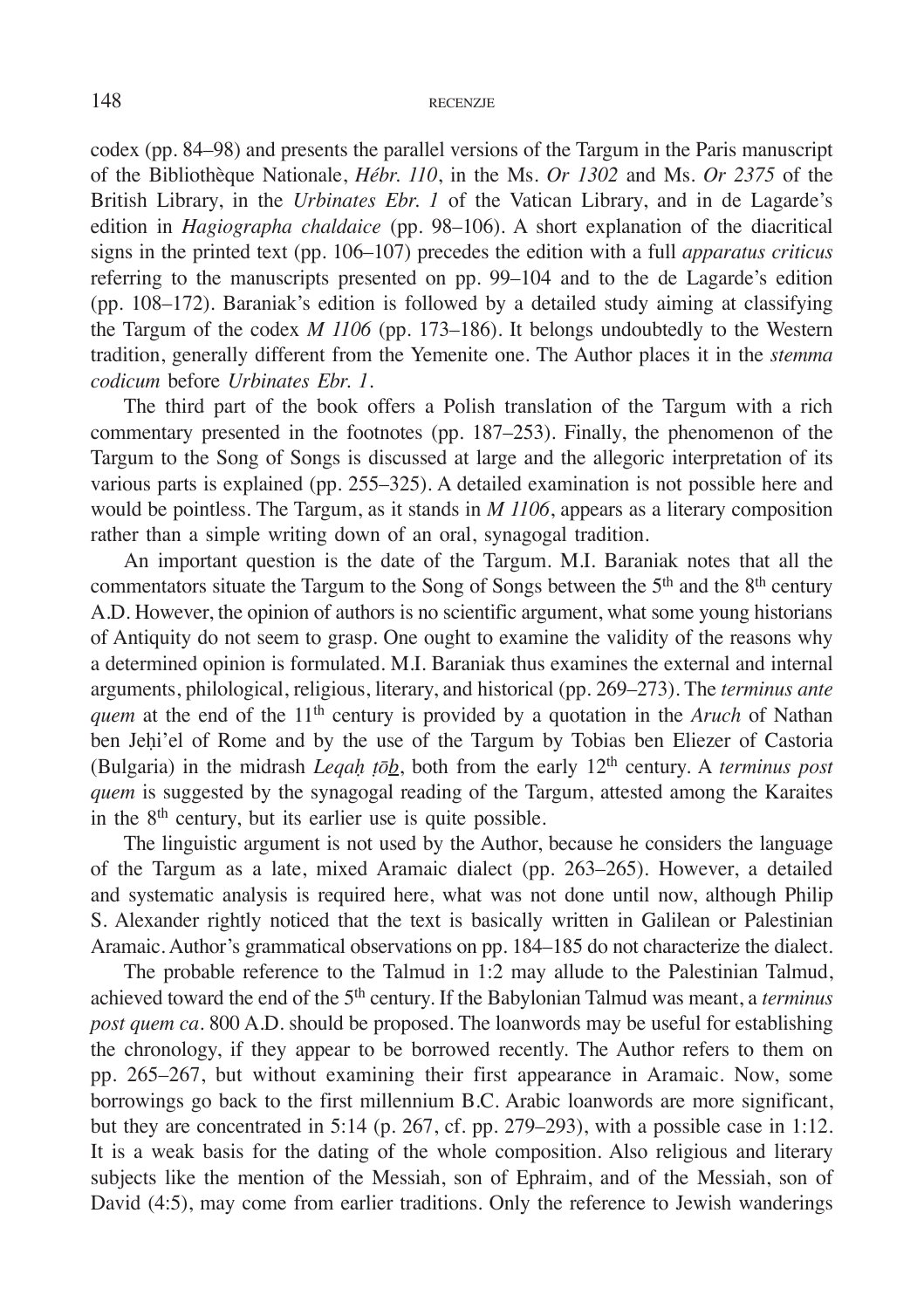codex (pp. 84–98) and presents the parallel versions of the Targum in the Paris manuscript of the Bibliothèque Nationale, *Hébr. 110*, in the Ms. *Or 1302* and Ms. *Or 2375* of the British Library, in the *Urbinates Ebr. 1* of the Vatican Library, and in de Lagarde's edition in *Hagiographa chaldaice* (pp. 98–106). A short explanation of the diacritical signs in the printed text (pp. 106–107) precedes the edition with a full *apparatus criticus*  referring to the manuscripts presented on pp. 99–104 and to the de Lagarde's edition (pp. 108–172). Baraniak's edition is followed by a detailed study aiming at classifying the Targum of the codex *M 1106* (pp. 173–186). It belongs undoubtedly to the Western tradition, generally different from the Yemenite one. The Author places it in the *stemma codicum* before *Urbinates Ebr. 1*.

The third part of the book offers a Polish translation of the Targum with a rich commentary presented in the footnotes (pp. 187–253). Finally, the phenomenon of the Targum to the Song of Songs is discussed at large and the allegoric interpretation of its various parts is explained (pp. 255–325). A detailed examination is not possible here and would be pointless. The Targum, as it stands in *M 1106*, appears as a literary composition rather than a simple writing down of an oral, synagogal tradition.

An important question is the date of the Targum. M.I. Baraniak notes that all the commentators situate the Targum to the Song of Songs between the  $5<sup>th</sup>$  and the  $8<sup>th</sup>$  century A.D. However, the opinion of authors is no scientific argument, what some young historians of Antiquity do not seem to grasp. One ought to examine the validity of the reasons why a determined opinion is formulated. M.I. Baraniak thus examines the external and internal arguments, philological, religious, literary, and historical (pp. 269–273). The *terminus ante quem* at the end of the 11<sup>th</sup> century is provided by a quotation in the *Aruch* of Nathan ben Jeḥi'el of Rome and by the use of the Targum by Tobias ben Eliezer of Castoria (Bulgaria) in the midrash *Leqaḥ ṭōb*, both from the early 12th century. A *terminus post quem* is suggested by the synagogal reading of the Targum, attested among the Karaites in the  $8<sup>th</sup>$  century, but its earlier use is quite possible.

The linguistic argument is not used by the Author, because he considers the language of the Targum as a late, mixed Aramaic dialect (pp. 263–265). However, a detailed and systematic analysis is required here, what was not done until now, although Philip S. Alexander rightly noticed that the text is basically written in Galilean or Palestinian Aramaic. Author's grammatical observations on pp. 184–185 do not characterize the dialect.

The probable reference to the Talmud in 1:2 may allude to the Palestinian Talmud, achieved toward the end of the 5th century. If the Babylonian Talmud was meant, a *terminus post quem ca*. 800 A.D. should be proposed. The loanwords may be useful for establishing the chronology, if they appear to be borrowed recently. The Author refers to them on pp. 265–267, but without examining their first appearance in Aramaic. Now, some borrowings go back to the first millennium B.C. Arabic loanwords are more significant, but they are concentrated in 5:14 (p. 267, cf. pp. 279–293), with a possible case in 1:12. It is a weak basis for the dating of the whole composition. Also religious and literary subjects like the mention of the Messiah, son of Ephraim, and of the Messiah, son of David (4:5), may come from earlier traditions. Only the reference to Jewish wanderings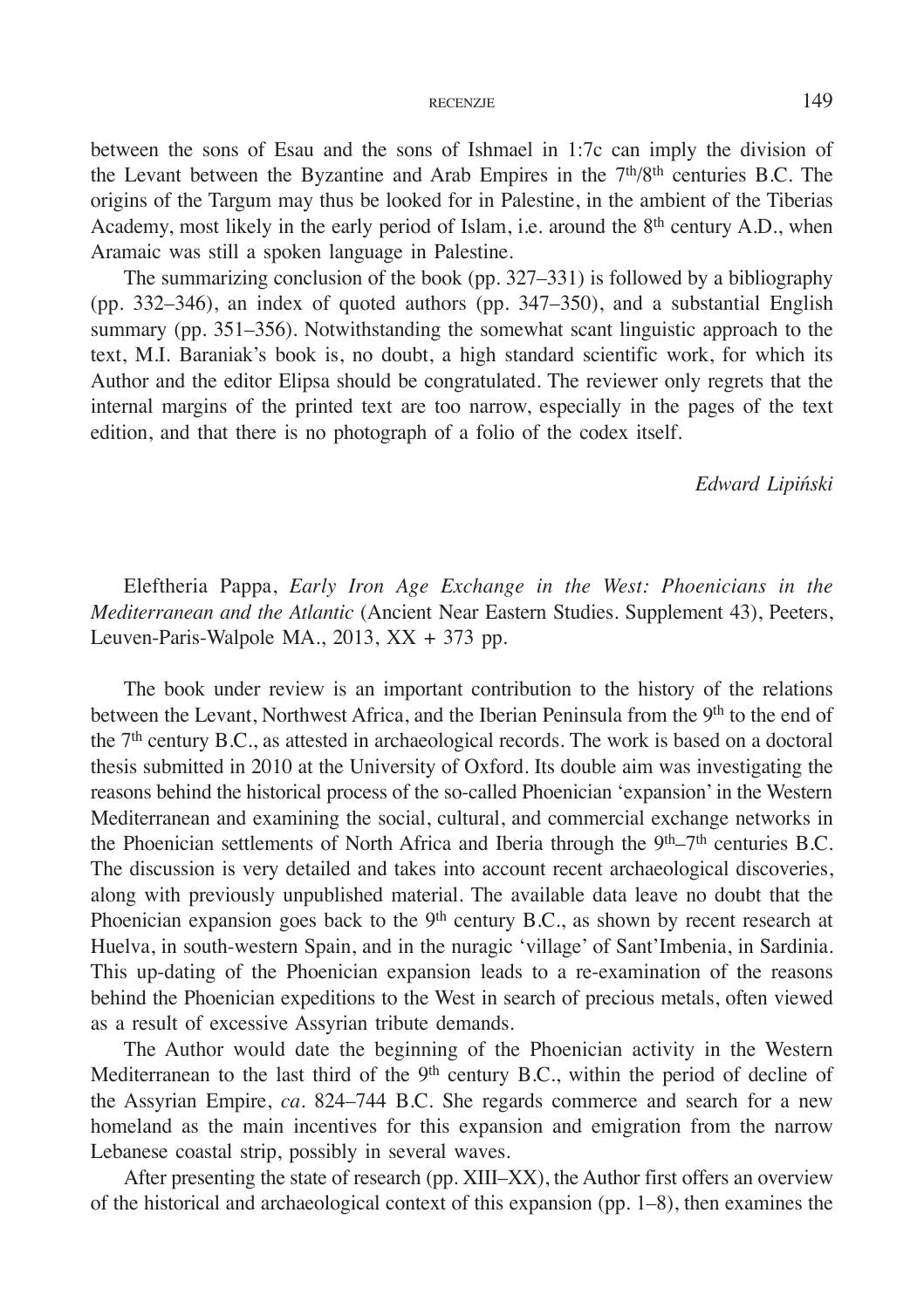between the sons of Esau and the sons of Ishmael in 1:7c can imply the division of the Levant between the Byzantine and Arab Empires in the  $7<sup>th</sup>/8<sup>th</sup>$  centuries B.C. The origins of the Targum may thus be looked for in Palestine, in the ambient of the Tiberias Academy, most likely in the early period of Islam, i.e. around the 8th century A.D., when Aramaic was still a spoken language in Palestine.

The summarizing conclusion of the book (pp. 327–331) is followed by a bibliography (pp. 332–346), an index of quoted authors (pp. 347–350), and a substantial English summary (pp. 351–356). Notwithstanding the somewhat scant linguistic approach to the text, M.I. Baraniak's book is, no doubt, a high standard scientific work, for which its Author and the editor Elipsa should be congratulated. The reviewer only regrets that the internal margins of the printed text are too narrow, especially in the pages of the text edition, and that there is no photograph of a folio of the codex itself.

#### *Edward Lipiński*

Eleftheria Pappa, *Early Iron Age Exchange in the West: Phoenicians in the Mediterranean and the Atlantic* (Ancient Near Eastern Studies. Supplement 43), Peeters, Leuven-Paris-Walpole MA., 2013, XX + 373 pp.

The book under review is an important contribution to the history of the relations between the Levant, Northwest Africa, and the Iberian Peninsula from the 9<sup>th</sup> to the end of the 7th century B.C., as attested in archaeological records. The work is based on a doctoral thesis submitted in 2010 at the University of Oxford. Its double aim was investigating the reasons behind the historical process of the so-called Phoenician 'expansion' in the Western Mediterranean and examining the social, cultural, and commercial exchange networks in the Phoenician settlements of North Africa and Iberia through the 9<sup>th</sup>–7<sup>th</sup> centuries B.C. The discussion is very detailed and takes into account recent archaeological discoveries, along with previously unpublished material. The available data leave no doubt that the Phoenician expansion goes back to the  $9<sup>th</sup>$  century B.C., as shown by recent research at Huelva, in south-western Spain, and in the nuragic 'village' of Sant'Imbenia, in Sardinia. This up-dating of the Phoenician expansion leads to a re-examination of the reasons behind the Phoenician expeditions to the West in search of precious metals, often viewed as a result of excessive Assyrian tribute demands.

The Author would date the beginning of the Phoenician activity in the Western Mediterranean to the last third of the 9<sup>th</sup> century B.C., within the period of decline of the Assyrian Empire, *ca*. 824–744 B.C. She regards commerce and search for a new homeland as the main incentives for this expansion and emigration from the narrow Lebanese coastal strip, possibly in several waves.

After presenting the state of research (pp. XIII–XX), the Author first offers an overview of the historical and archaeological context of this expansion (pp. 1–8), then examines the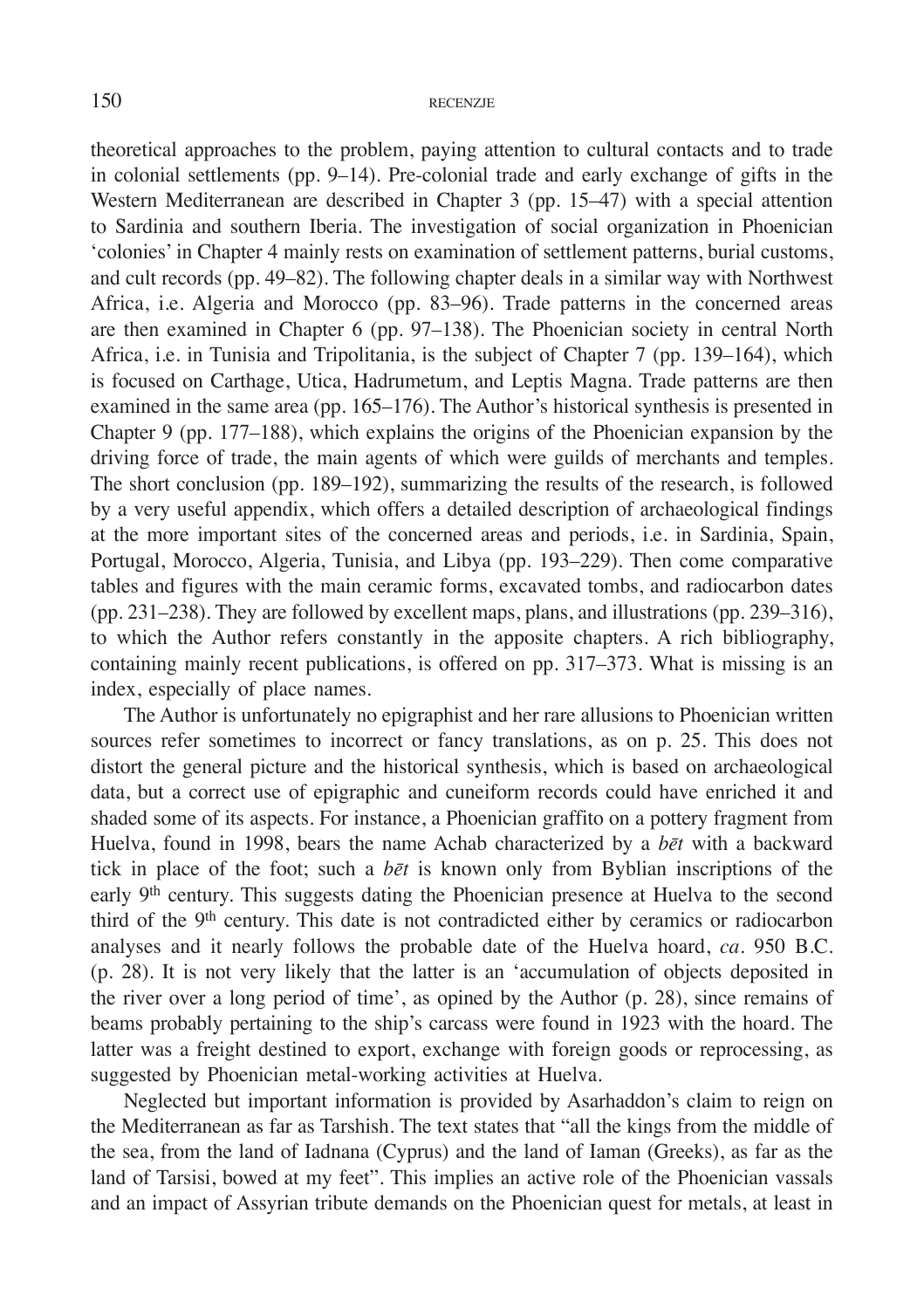theoretical approaches to the problem, paying attention to cultural contacts and to trade in colonial settlements (pp. 9–14). Pre-colonial trade and early exchange of gifts in the Western Mediterranean are described in Chapter 3 (pp. 15–47) with a special attention to Sardinia and southern Iberia. The investigation of social organization in Phoenician 'colonies' in Chapter 4 mainly rests on examination of settlement patterns, burial customs, and cult records (pp. 49–82). The following chapter deals in a similar way with Northwest Africa, i.e. Algeria and Morocco (pp. 83–96). Trade patterns in the concerned areas are then examined in Chapter 6 (pp. 97–138). The Phoenician society in central North Africa, i.e. in Tunisia and Tripolitania, is the subject of Chapter 7 (pp. 139–164), which is focused on Carthage, Utica, Hadrumetum, and Leptis Magna. Trade patterns are then examined in the same area (pp. 165–176). The Author's historical synthesis is presented in Chapter 9 (pp. 177–188), which explains the origins of the Phoenician expansion by the driving force of trade, the main agents of which were guilds of merchants and temples. The short conclusion (pp. 189–192), summarizing the results of the research, is followed by a very useful appendix, which offers a detailed description of archaeological findings at the more important sites of the concerned areas and periods, i.e. in Sardinia, Spain, Portugal, Morocco, Algeria, Tunisia, and Libya (pp. 193–229). Then come comparative tables and figures with the main ceramic forms, excavated tombs, and radiocarbon dates (pp. 231–238). They are followed by excellent maps, plans, and illustrations (pp. 239–316), to which the Author refers constantly in the apposite chapters. A rich bibliography, containing mainly recent publications, is offered on pp. 317–373. What is missing is an index, especially of place names.

The Author is unfortunately no epigraphist and her rare allusions to Phoenician written sources refer sometimes to incorrect or fancy translations, as on p. 25. This does not distort the general picture and the historical synthesis, which is based on archaeological data, but a correct use of epigraphic and cuneiform records could have enriched it and shaded some of its aspects. For instance, a Phoenician graffito on a pottery fragment from Huelva, found in 1998, bears the name Achab characterized by a *bēt* with a backward tick in place of the foot; such a *bēt* is known only from Byblian inscriptions of the early 9<sup>th</sup> century. This suggests dating the Phoenician presence at Huelva to the second third of the 9th century. This date is not contradicted either by ceramics or radiocarbon analyses and it nearly follows the probable date of the Huelva hoard, *ca.* 950 B.C. (p. 28). It is not very likely that the latter is an 'accumulation of objects deposited in the river over a long period of time', as opined by the Author (p. 28), since remains of beams probably pertaining to the ship's carcass were found in 1923 with the hoard. The latter was a freight destined to export, exchange with foreign goods or reprocessing, as suggested by Phoenician metal-working activities at Huelva.

Neglected but important information is provided by Asarhaddon's claim to reign on the Mediterranean as far as Tarshish. The text states that "all the kings from the middle of the sea, from the land of Iadnana (Cyprus) and the land of Iaman (Greeks), as far as the land of Tarsisi, bowed at my feet". This implies an active role of the Phoenician vassals and an impact of Assyrian tribute demands on the Phoenician quest for metals, at least in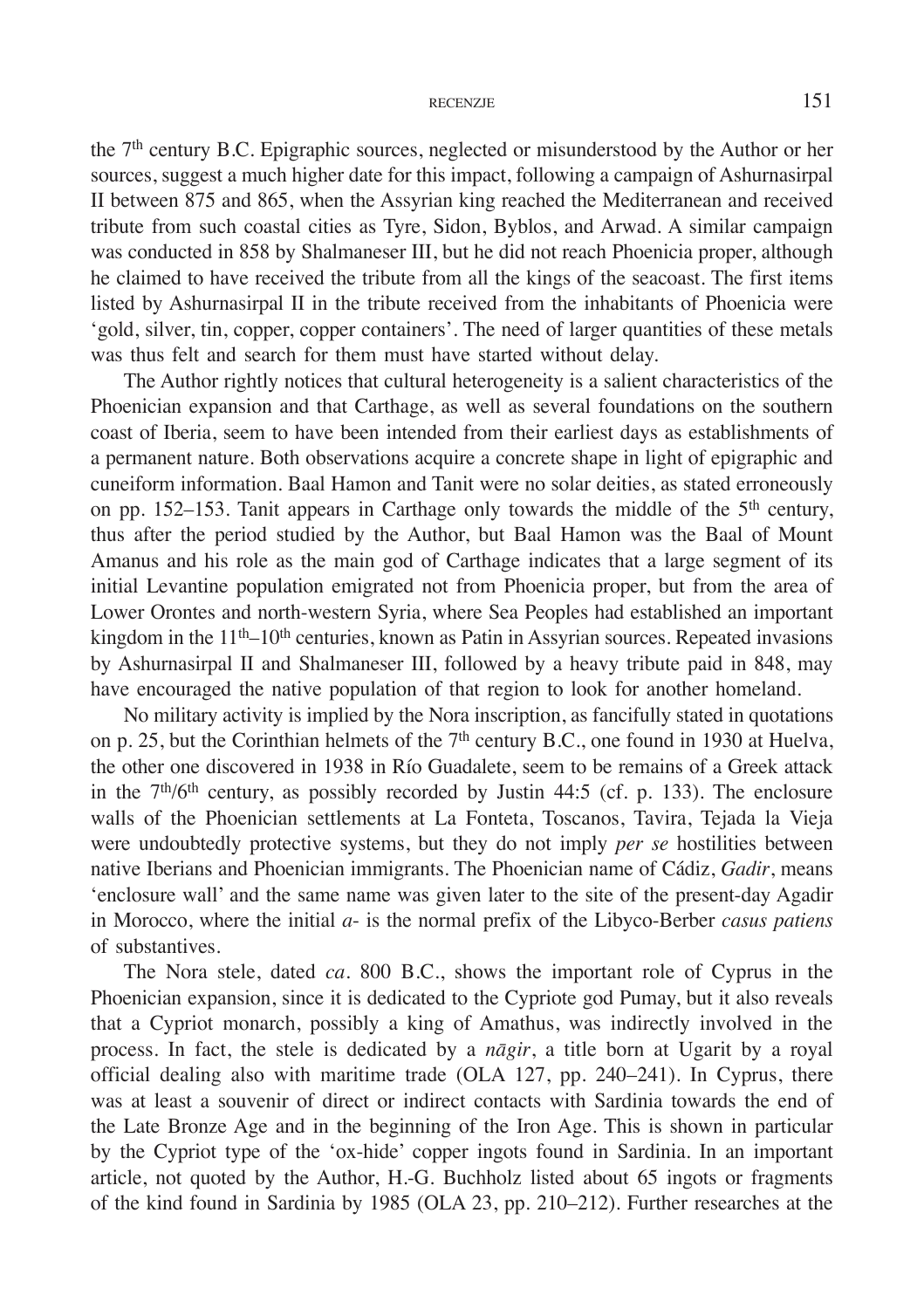## RECENZJE  $151$

the 7th century B.C. Epigraphic sources, neglected or misunderstood by the Author or her sources, suggest a much higher date for this impact, following a campaign of Ashurnasirpal II between 875 and 865, when the Assyrian king reached the Mediterranean and received tribute from such coastal cities as Tyre, Sidon, Byblos, and Arwad. A similar campaign was conducted in 858 by Shalmaneser III, but he did not reach Phoenicia proper, although he claimed to have received the tribute from all the kings of the seacoast. The first items listed by Ashurnasirpal II in the tribute received from the inhabitants of Phoenicia were 'gold, silver, tin, copper, copper containers'. The need of larger quantities of these metals was thus felt and search for them must have started without delay.

The Author rightly notices that cultural heterogeneity is a salient characteristics of the Phoenician expansion and that Carthage, as well as several foundations on the southern coast of Iberia, seem to have been intended from their earliest days as establishments of a permanent nature. Both observations acquire a concrete shape in light of epigraphic and cuneiform information. Baal Hamon and Tanit were no solar deities, as stated erroneously on pp. 152–153. Tanit appears in Carthage only towards the middle of the 5<sup>th</sup> century, thus after the period studied by the Author, but Baal Hamon was the Baal of Mount Amanus and his role as the main god of Carthage indicates that a large segment of its initial Levantine population emigrated not from Phoenicia proper, but from the area of Lower Orontes and north-western Syria, where Sea Peoples had established an important kingdom in the 11<sup>th</sup>–10<sup>th</sup> centuries, known as Patin in Assyrian sources. Repeated invasions by Ashurnasirpal II and Shalmaneser III, followed by a heavy tribute paid in 848, may have encouraged the native population of that region to look for another homeland.

No military activity is implied by the Nora inscription, as fancifully stated in quotations on p. 25, but the Corinthian helmets of the  $7<sup>th</sup>$  century B.C., one found in 1930 at Huelva, the other one discovered in 1938 in Río Guadalete, seem to be remains of a Greek attack in the  $7<sup>th</sup>/6<sup>th</sup>$  century, as possibly recorded by Justin 44:5 (cf. p. 133). The enclosure walls of the Phoenician settlements at La Fonteta, Toscanos, Tavira, Tejada la Vieja were undoubtedly protective systems, but they do not imply *per se* hostilities between native Iberians and Phoenician immigrants. The Phoenician name of Cádiz, *Gadir*, means 'enclosure wall' and the same name was given later to the site of the present-day Agadir in Morocco, where the initial *a*- is the normal prefix of the Libyco-Berber *casus patiens* of substantives.

The Nora stele, dated *ca*. 800 B.C., shows the important role of Cyprus in the Phoenician expansion, since it is dedicated to the Cypriote god Pumay, but it also reveals that a Cypriot monarch, possibly a king of Amathus, was indirectly involved in the process. In fact, the stele is dedicated by a *nāgir*, a title born at Ugarit by a royal official dealing also with maritime trade (OLA 127, pp. 240–241). In Cyprus, there was at least a souvenir of direct or indirect contacts with Sardinia towards the end of the Late Bronze Age and in the beginning of the Iron Age. This is shown in particular by the Cypriot type of the 'ox-hide' copper ingots found in Sardinia. In an important article, not quoted by the Author, H.-G. Buchholz listed about 65 ingots or fragments of the kind found in Sardinia by 1985 (OLA 23, pp. 210–212). Further researches at the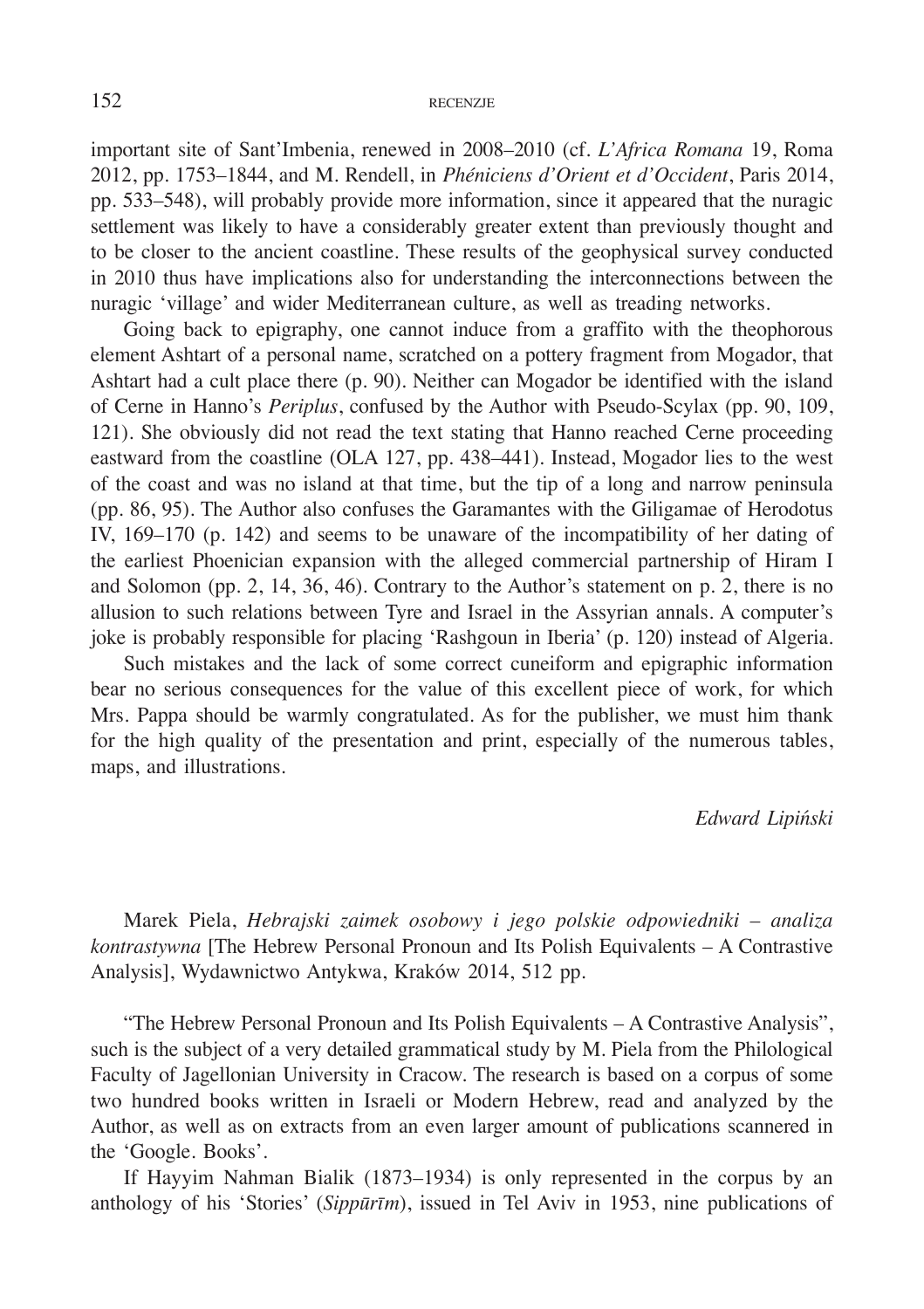important site of Sant'Imbenia, renewed in 2008–2010 (cf. *L'Africa Romana* 19, Roma 2012, pp. 1753–1844, and M. Rendell, in *Phéniciens d'Orient et d'Occident*, Paris 2014, pp. 533–548), will probably provide more information, since it appeared that the nuragic settlement was likely to have a considerably greater extent than previously thought and to be closer to the ancient coastline. These results of the geophysical survey conducted in 2010 thus have implications also for understanding the interconnections between the nuragic 'village' and wider Mediterranean culture, as well as treading networks.

Going back to epigraphy, one cannot induce from a graffito with the theophorous element Ashtart of a personal name, scratched on a pottery fragment from Mogador, that Ashtart had a cult place there (p. 90). Neither can Mogador be identified with the island of Cerne in Hanno's *Periplus*, confused by the Author with Pseudo-Scylax (pp. 90, 109, 121). She obviously did not read the text stating that Hanno reached Cerne proceeding eastward from the coastline (OLA 127, pp. 438–441). Instead, Mogador lies to the west of the coast and was no island at that time, but the tip of a long and narrow peninsula (pp. 86, 95). The Author also confuses the Garamantes with the Giligamae of Herodotus IV, 169–170 (p. 142) and seems to be unaware of the incompatibility of her dating of the earliest Phoenician expansion with the alleged commercial partnership of Hiram I and Solomon (pp. 2, 14, 36, 46). Contrary to the Author's statement on p. 2, there is no allusion to such relations between Tyre and Israel in the Assyrian annals. A computer's joke is probably responsible for placing 'Rashgoun in Iberia' (p. 120) instead of Algeria.

Such mistakes and the lack of some correct cuneiform and epigraphic information bear no serious consequences for the value of this excellent piece of work, for which Mrs. Pappa should be warmly congratulated. As for the publisher, we must him thank for the high quality of the presentation and print, especially of the numerous tables, maps, and illustrations.

# *Edward Lipiński*

Marek Piela, *Hebrajski zaimek osobowy i jego polskie odpowiedniki – analiza kontrastywna* [The Hebrew Personal Pronoun and Its Polish Equivalents – A Contrastive Analysis], Wydawnictwo Antykwa, Kraków 2014, 512 pp.

"The Hebrew Personal Pronoun and Its Polish Equivalents – A Contrastive Analysis", such is the subject of a very detailed grammatical study by M. Piela from the Philological Faculty of Jagellonian University in Cracow. The research is based on a corpus of some two hundred books written in Israeli or Modern Hebrew, read and analyzed by the Author, as well as on extracts from an even larger amount of publications scannered in the 'Google. Books'.

If Hayyim Nahman Bialik (1873*–*1934) is only represented in the corpus by an anthology of his 'Stories' (*Sippūrīm*), issued in Tel Aviv in 1953, nine publications of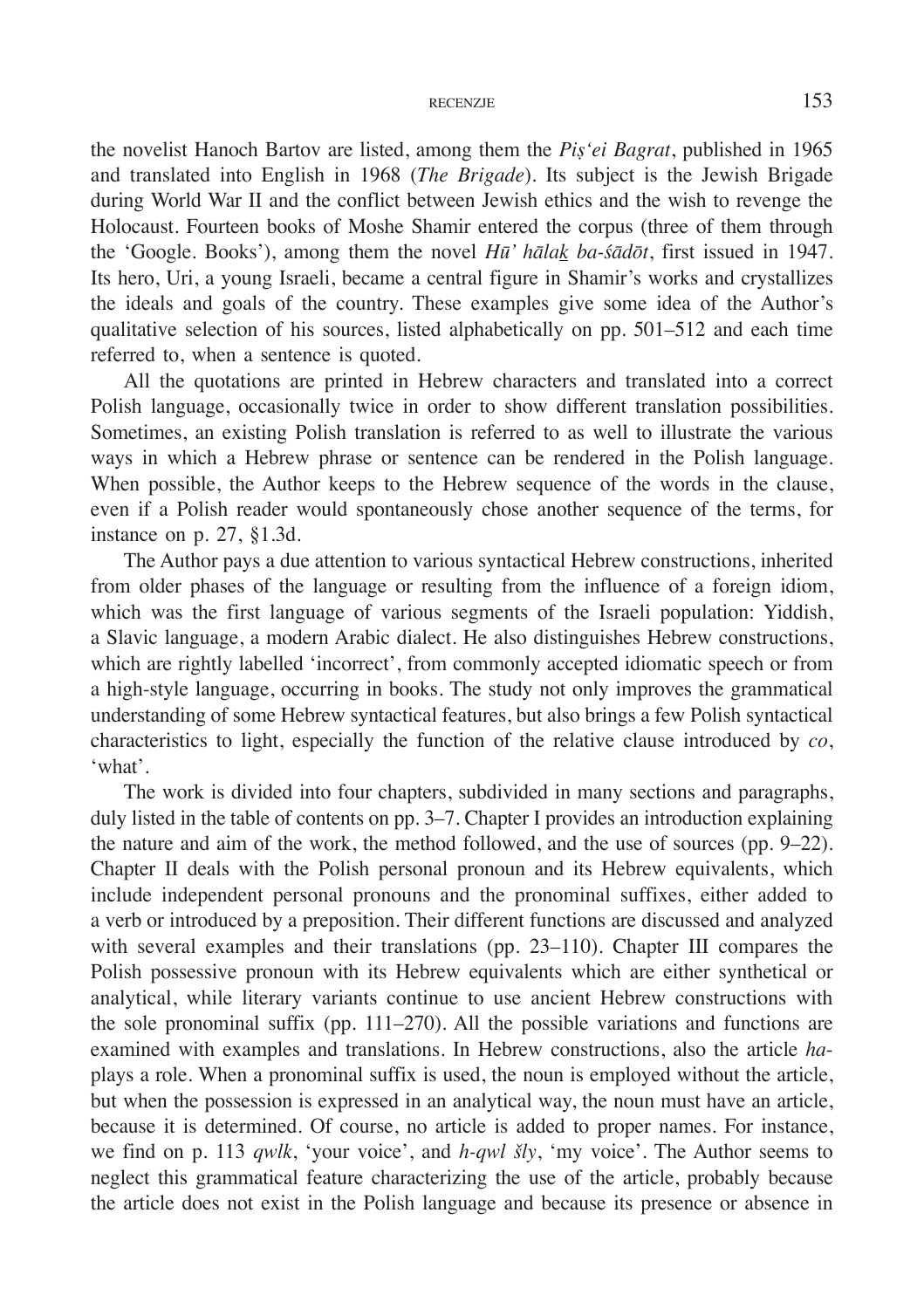the novelist Hanoch Bartov are listed, among them the *Piṣ'ei Bagrat*, published in 1965 and translated into English in 1968 (*The Brigade*). Its subject is the Jewish Brigade during World War II and the conflict between Jewish ethics and the wish to revenge the Holocaust. Fourteen books of Moshe Shamir entered the corpus (three of them through the 'Google. Books'), among them the novel *Hū' hālak ba-śādōt*, first issued in 1947. Its hero, Uri, a young Israeli, became a central figure in Shamir's works and crystallizes the ideals and goals of the country. These examples give some idea of the Author's qualitative selection of his sources, listed alphabetically on pp. 501–512 and each time referred to, when a sentence is quoted.

All the quotations are printed in Hebrew characters and translated into a correct Polish language, occasionally twice in order to show different translation possibilities. Sometimes, an existing Polish translation is referred to as well to illustrate the various ways in which a Hebrew phrase or sentence can be rendered in the Polish language. When possible, the Author keeps to the Hebrew sequence of the words in the clause, even if a Polish reader would spontaneously chose another sequence of the terms, for instance on p. 27, §1.3d.

The Author pays a due attention to various syntactical Hebrew constructions, inherited from older phases of the language or resulting from the influence of a foreign idiom, which was the first language of various segments of the Israeli population: Yiddish, a Slavic language, a modern Arabic dialect. He also distinguishes Hebrew constructions, which are rightly labelled 'incorrect', from commonly accepted idiomatic speech or from a high-style language, occurring in books. The study not only improves the grammatical understanding of some Hebrew syntactical features, but also brings a few Polish syntactical characteristics to light, especially the function of the relative clause introduced by *co*, 'what'.

The work is divided into four chapters, subdivided in many sections and paragraphs, duly listed in the table of contents on pp. 3–7. Chapter I provides an introduction explaining the nature and aim of the work, the method followed, and the use of sources (pp. 9–22). Chapter II deals with the Polish personal pronoun and its Hebrew equivalents, which include independent personal pronouns and the pronominal suffixes, either added to a verb or introduced by a preposition. Their different functions are discussed and analyzed with several examples and their translations (pp. 23–110). Chapter III compares the Polish possessive pronoun with its Hebrew equivalents which are either synthetical or analytical, while literary variants continue to use ancient Hebrew constructions with the sole pronominal suffix (pp. 111–270). All the possible variations and functions are examined with examples and translations. In Hebrew constructions, also the article *ha*plays a role. When a pronominal suffix is used, the noun is employed without the article, but when the possession is expressed in an analytical way, the noun must have an article, because it is determined. Of course, no article is added to proper names. For instance, we find on p. 113 *qwlk*, 'your voice', and *h-qwl šly*, 'my voice'. The Author seems to neglect this grammatical feature characterizing the use of the article, probably because the article does not exist in the Polish language and because its presence or absence in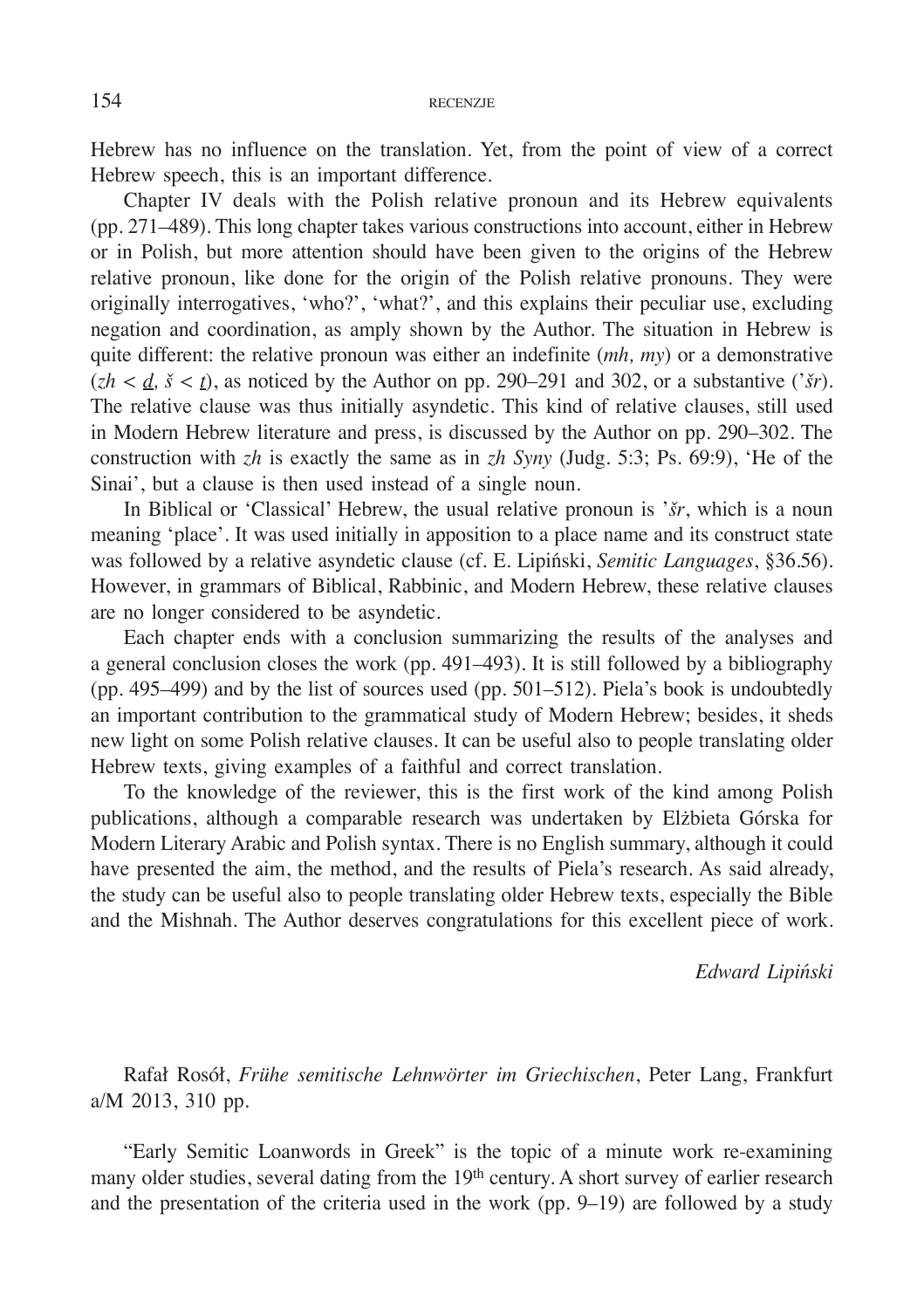Hebrew has no influence on the translation. Yet, from the point of view of a correct Hebrew speech, this is an important difference.

Chapter IV deals with the Polish relative pronoun and its Hebrew equivalents (pp. 271–489). This long chapter takes various constructions into account, either in Hebrew or in Polish, but more attention should have been given to the origins of the Hebrew relative pronoun, like done for the origin of the Polish relative pronouns. They were originally interrogatives, 'who?', 'what?', and this explains their peculiar use, excluding negation and coordination, as amply shown by the Author. The situation in Hebrew is quite different: the relative pronoun was either an indefinite (*mh, my*) or a demonstrative  $(zh < d, \delta < t)$ , as noticed by the Author on pp. 290–291 and 302, or a substantive (' $\delta r$ ). The relative clause was thus initially asyndetic. This kind of relative clauses, still used in Modern Hebrew literature and press, is discussed by the Author on pp. 290–302. The construction with *zh* is exactly the same as in *zh Syny* (Judg. 5:3; Ps. 69:9), 'He of the Sinai', but a clause is then used instead of a single noun.

In Biblical or 'Classical' Hebrew, the usual relative pronoun is '*šr*, which is a noun meaning 'place'. It was used initially in apposition to a place name and its construct state was followed by a relative asyndetic clause (cf. E. Lipiński, *Semitic Languages*, §36.56). However, in grammars of Biblical, Rabbinic, and Modern Hebrew, these relative clauses are no longer considered to be asyndetic.

Each chapter ends with a conclusion summarizing the results of the analyses and a general conclusion closes the work (pp. 491–493). It is still followed by a bibliography (pp. 495–499) and by the list of sources used (pp. 501–512). Piela's book is undoubtedly an important contribution to the grammatical study of Modern Hebrew; besides, it sheds new light on some Polish relative clauses. It can be useful also to people translating older Hebrew texts, giving examples of a faithful and correct translation.

To the knowledge of the reviewer, this is the first work of the kind among Polish publications, although a comparable research was undertaken by Elżbieta Górska for Modern Literary Arabic and Polish syntax. There is no English summary, although it could have presented the aim, the method, and the results of Piela's research. As said already, the study can be useful also to people translating older Hebrew texts, especially the Bible and the Mishnah. The Author deserves congratulations for this excellent piece of work.

*Edward Lipiński*

Rafał Rosół, *Frühe semitische Lehnwörter im Griechischen*, Peter Lang, Frankfurt a/M 2013, 310 pp.

"Early Semitic Loanwords in Greek" is the topic of a minute work re-examining many older studies, several dating from the 19<sup>th</sup> century. A short survey of earlier research and the presentation of the criteria used in the work (pp. 9–19) are followed by a study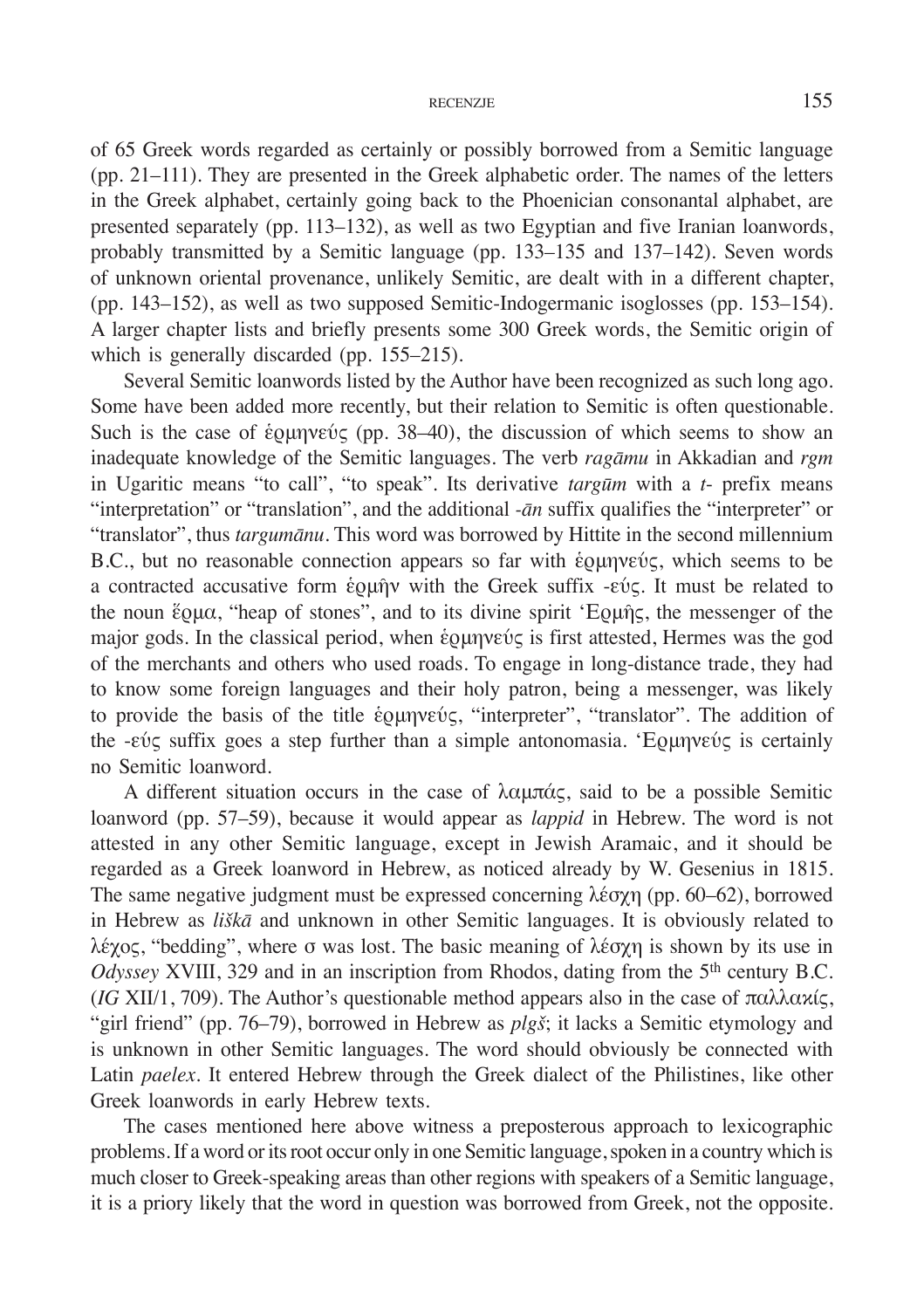of 65 Greek words regarded as certainly or possibly borrowed from a Semitic language (pp. 21–111). They are presented in the Greek alphabetic order. The names of the letters in the Greek alphabet, certainly going back to the Phoenician consonantal alphabet, are presented separately (pp. 113–132), as well as two Egyptian and five Iranian loanwords, probably transmitted by a Semitic language (pp. 133–135 and 137–142). Seven words of unknown oriental provenance, unlikely Semitic, are dealt with in a different chapter, (pp. 143–152), as well as two supposed Semitic-Indogermanic isoglosses (pp. 153–154). A larger chapter lists and briefly presents some 300 Greek words, the Semitic origin of which is generally discarded (pp. 155–215).

Several Semitic loanwords listed by the Author have been recognized as such long ago. Some have been added more recently, but their relation to Semitic is often questionable. Such is the case of έρμηνεύς (pp. 38–40), the discussion of which seems to show an inadequate knowledge of the Semitic languages. The verb *ragāmu* in Akkadian and *rgm* in Ugaritic means "to call", "to speak". Its derivative *targūm* with a *t*- prefix means "interpretation" or "translation", and the additional *-ān* suffix qualifies the "interpreter" or "translator", thus *targumānu*. This word was borrowed by Hittite in the second millennium B.C., but no reasonable connection appears so far with ἑρμηνεύς, which seems to be a contracted accusative form ἑρμῆν with the Greek suffix -εύς. It must be related to the noun ἕρμα, "heap of stones", and to its divine spirit 'Ερμῆς, the messenger of the major gods. In the classical period, when ἑρμηνεύς is first attested, Hermes was the god of the merchants and others who used roads. To engage in long-distance trade, they had to know some foreign languages and their holy patron, being a messenger, was likely to provide the basis of the title ἑρμηνεύς, "interpreter", "translator". The addition of the  $-\epsilon \nu \zeta$  suffix goes a step further than a simple antonomasia. 'Ερμηνεύς is certainly no Semitic loanword.

A different situation occurs in the case of λαμπάς, said to be a possible Semitic loanword (pp. 57–59), because it would appear as *lappid* in Hebrew. The word is not attested in any other Semitic language, except in Jewish Aramaic, and it should be regarded as a Greek loanword in Hebrew, as noticed already by W. Gesenius in 1815. The same negative judgment must be expressed concerning λέσχη (pp. 60–62), borrowed in Hebrew as *liškā* and unknown in other Semitic languages. It is obviously related to λέχoς, "bedding", where σ was lost. The basic meaning of λέσχη is shown by its use in *Odyssey* XVIII, 329 and in an inscription from Rhodos, dating from the 5<sup>th</sup> century B.C. (*IG* XII/1, 709). The Author's questionable method appears also in the case of παλλακίς, "girl friend" (pp. 76–79), borrowed in Hebrew as *plgš*; it lacks a Semitic etymology and is unknown in other Semitic languages. The word should obviously be connected with Latin *paelex*. It entered Hebrew through the Greek dialect of the Philistines, like other Greek loanwords in early Hebrew texts.

The cases mentioned here above witness a preposterous approach to lexicographic problems. If a word or its root occur only in one Semitic language, spoken in a country which is much closer to Greek-speaking areas than other regions with speakers of a Semitic language, it is a priory likely that the word in question was borrowed from Greek, not the opposite.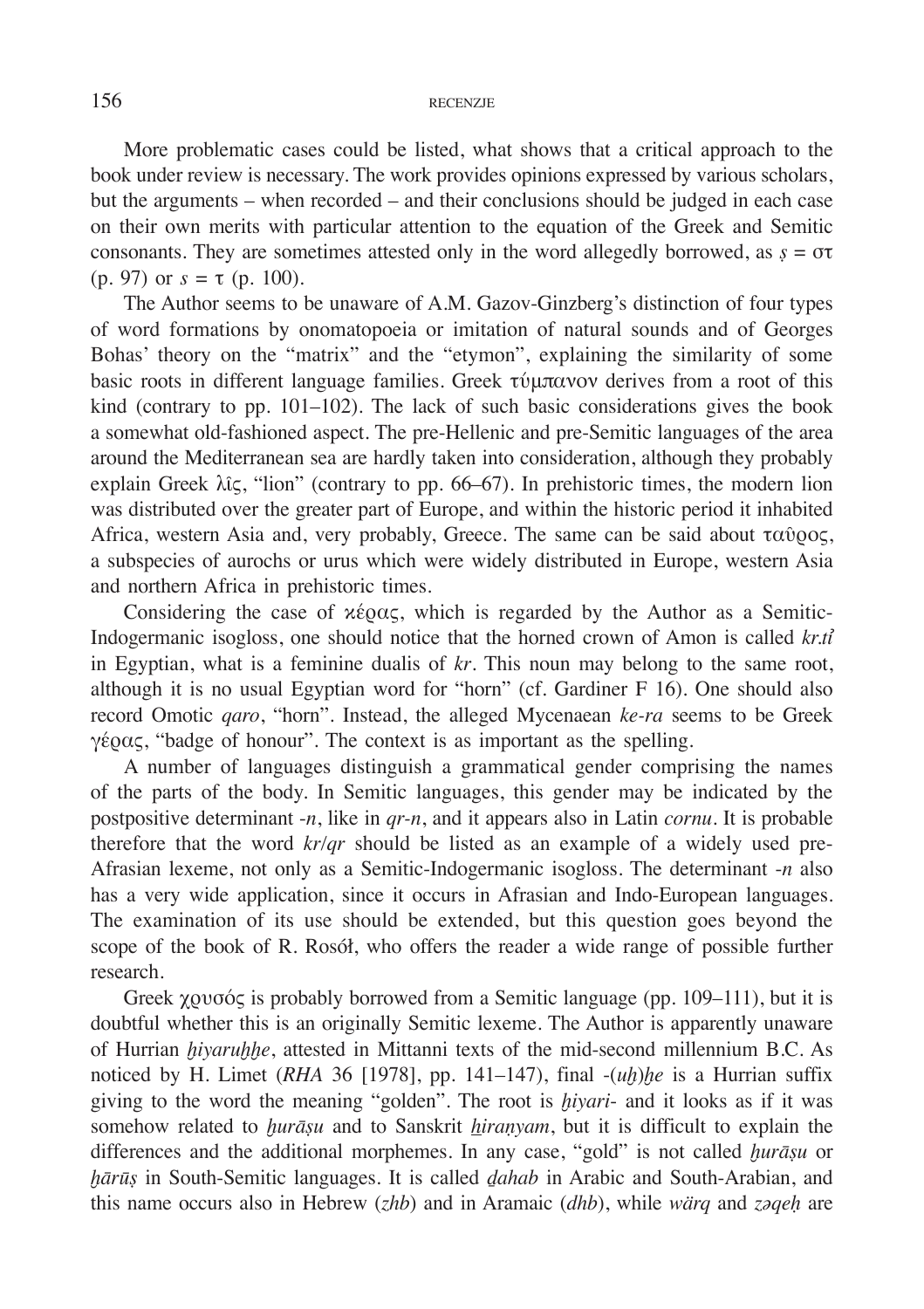More problematic cases could be listed, what shows that a critical approach to the book under review is necessary. The work provides opinions expressed by various scholars, but the arguments – when recorded – and their conclusions should be judged in each case on their own merits with particular attention to the equation of the Greek and Semitic consonants. They are sometimes attested only in the word allegedly borrowed, as  $\zeta = \sigma \tau$ (p. 97) or  $s = \tau$  (p. 100).

The Author seems to be unaware of A.M. Gazov-Ginzberg's distinction of four types of word formations by onomatopoeia or imitation of natural sounds and of Georges Bohas' theory on the "matrix" and the "etymon", explaining the similarity of some basic roots in different language families. Greek τύμπανον derives from a root of this kind (contrary to pp. 101–102). The lack of such basic considerations gives the book a somewhat old-fashioned aspect. The pre-Hellenic and pre-Semitic languages of the area around the Mediterranean sea are hardly taken into consideration, although they probably explain Greek  $\lambda$ îς, "lion" (contrary to pp. 66–67). In prehistoric times, the modern lion was distributed over the greater part of Europe, and within the historic period it inhabited Africa, western Asia and, very probably, Greece. The same can be said about ταῦρος, a subspecies of aurochs or urus which were widely distributed in Europe, western Asia and northern Africa in prehistoric times.

Considering the case of  $\chi$ έρας, which is regarded by the Author as a Semitic-Indogermanic isogloss, one should notice that the horned crown of Amon is called *kr.tỉ* in Egyptian, what is a feminine dualis of *kr*. This noun may belong to the same root, although it is no usual Egyptian word for "horn" (cf. Gardiner F 16). One should also record Omotic *qaro*, "horn". Instead, the alleged Mycenaean *ke-ra* seems to be Greek γέρας, "badge of honour". The context is as important as the spelling.

A number of languages distinguish a grammatical gender comprising the names of the parts of the body. In Semitic languages, this gender may be indicated by the postpositive determinant -*n*, like in *qr-n*, and it appears also in Latin *cornu*. It is probable therefore that the word *kr/qr* should be listed as an example of a widely used pre-Afrasian lexeme, not only as a Semitic-Indogermanic isogloss. The determinant -*n* also has a very wide application, since it occurs in Afrasian and Indo-European languages. The examination of its use should be extended, but this question goes beyond the scope of the book of R. Rosół, who offers the reader a wide range of possible further research.

Greek χρυσός is probably borrowed from a Semitic language (pp. 109–111), but it is doubtful whether this is an originally Semitic lexeme. The Author is apparently unaware of Hurrian *ḫiyaruḫḫe*, attested in Mittanni texts of the mid-second millennium B.C. As noticed by H. Limet (*RHA* 36 [1978], pp. 141–147), final  $-(uh)he$  is a Hurrian suffix giving to the word the meaning "golden". The root is *ḫiyari*- and it looks as if it was somehow related to *ḫurāṣu* and to Sanskrit *hiraṇyam*, but it is difficult to explain the differences and the additional morphemes. In any case, "gold" is not called *ḫurāṣu* or *ḫārūṣ* in South-Semitic languages. It is called *ḏahab* in Arabic and South-Arabian, and this name occurs also in Hebrew (*zhb*) and in Aramaic (*dhb*), while *wärq* and *zəqeḥ* are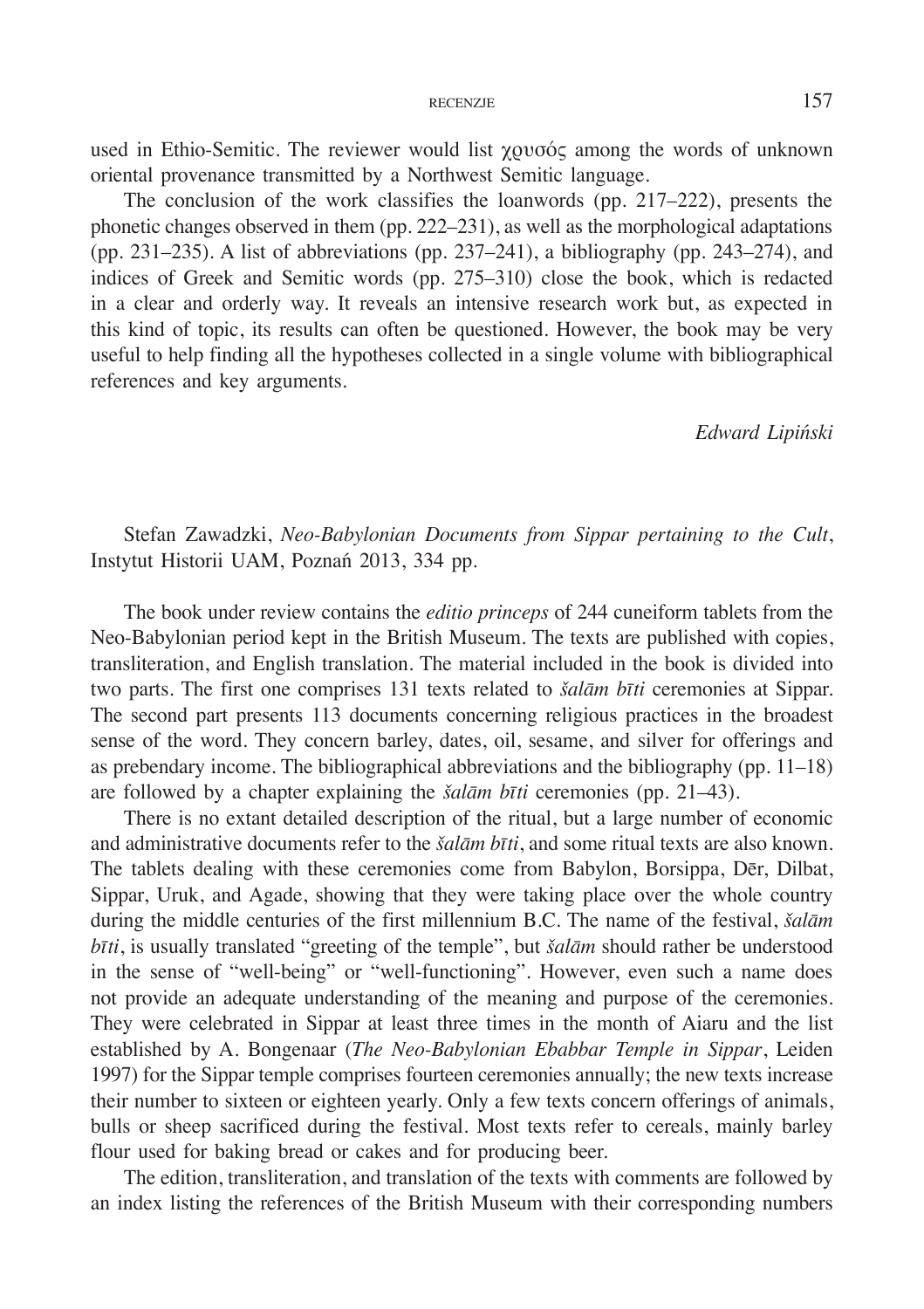used in Ethio-Semitic. The reviewer would list χρυσός among the words of unknown oriental provenance transmitted by a Northwest Semitic language.

The conclusion of the work classifies the loanwords (pp. 217–222), presents the phonetic changes observed in them (pp. 222–231), as well as the morphological adaptations (pp. 231–235). A list of abbreviations (pp. 237–241), a bibliography (pp. 243–274), and indices of Greek and Semitic words (pp. 275–310) close the book, which is redacted in a clear and orderly way. It reveals an intensive research work but, as expected in this kind of topic, its results can often be questioned. However, the book may be very useful to help finding all the hypotheses collected in a single volume with bibliographical references and key arguments.

*Edward Lipiński*

Stefan Zawadzki, *Neo-Babylonian Documents from Sippar pertaining to the Cult*, Instytut Historii UAM, Poznań 2013, 334 pp.

The book under review contains the *editio princeps* of 244 cuneiform tablets from the Neo-Babylonian period kept in the British Museum. The texts are published with copies, transliteration, and English translation. The material included in the book is divided into two parts. The first one comprises 131 texts related to *šalām bīti* ceremonies at Sippar. The second part presents 113 documents concerning religious practices in the broadest sense of the word. They concern barley, dates, oil, sesame, and silver for offerings and as prebendary income. The bibliographical abbreviations and the bibliography (pp. 11–18) are followed by a chapter explaining the *šalām bīti* ceremonies (pp. 21–43).

There is no extant detailed description of the ritual, but a large number of economic and administrative documents refer to the *šalām bīti*, and some ritual texts are also known. The tablets dealing with these ceremonies come from Babylon, Borsippa, Dēr, Dilbat, Sippar, Uruk, and Agade, showing that they were taking place over the whole country during the middle centuries of the first millennium B.C. The name of the festival, *šalām bīti*, is usually translated "greeting of the temple", but *šalām* should rather be understood in the sense of "well-being" or "well-functioning". However, even such a name does not provide an adequate understanding of the meaning and purpose of the ceremonies. They were celebrated in Sippar at least three times in the month of Aiaru and the list established by A. Bongenaar (*The Neo-Babylonian Ebabbar Temple in Sippar*, Leiden 1997) for the Sippar temple comprises fourteen ceremonies annually; the new texts increase their number to sixteen or eighteen yearly. Only a few texts concern offerings of animals, bulls or sheep sacrificed during the festival. Most texts refer to cereals, mainly barley flour used for baking bread or cakes and for producing beer.

The edition, transliteration, and translation of the texts with comments are followed by an index listing the references of the British Museum with their corresponding numbers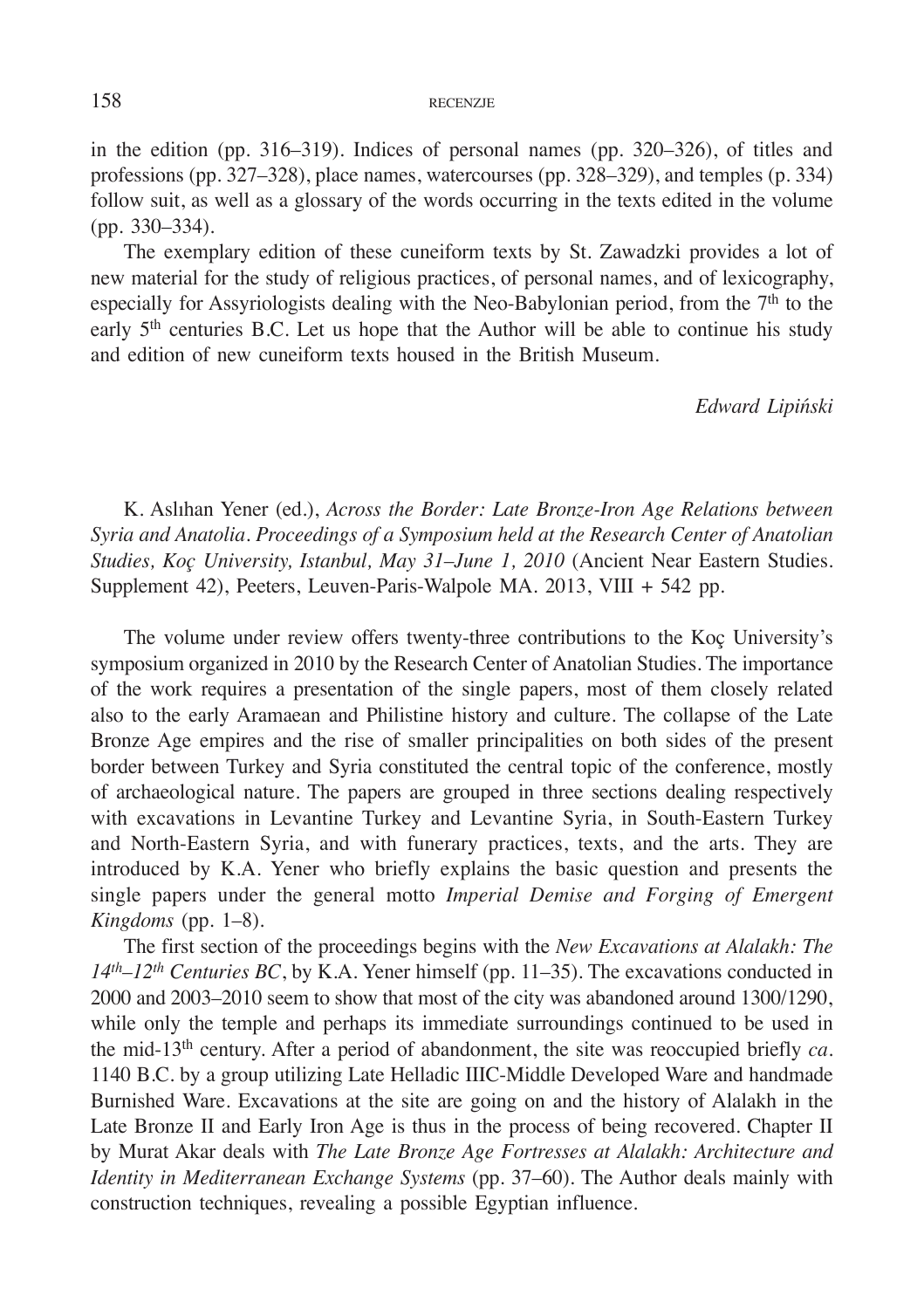in the edition (pp. 316–319). Indices of personal names (pp. 320–326), of titles and professions (pp. 327–328), place names, watercourses (pp. 328–329), and temples (p. 334) follow suit, as well as a glossary of the words occurring in the texts edited in the volume (pp. 330–334).

The exemplary edition of these cuneiform texts by St. Zawadzki provides a lot of new material for the study of religious practices, of personal names, and of lexicography, especially for Assyriologists dealing with the Neo-Babylonian period, from the 7<sup>th</sup> to the early 5th centuries B.C. Let us hope that the Author will be able to continue his study and edition of new cuneiform texts housed in the British Museum.

*Edward Lipiński*

K. Aslıhan Yener (ed.), *Across the Border: Late Bronze-Iron Age Relations between Syria and Anatolia. Proceedings of a Symposium held at the Research Center of Anatolian Studies, Koç University, Istanbul, May 31–June 1, 2010* (Ancient Near Eastern Studies. Supplement 42), Peeters, Leuven-Paris-Walpole MA. 2013, VIII + 542 pp.

The volume under review offers twenty-three contributions to the Koç University's symposium organized in 2010 by the Research Center of Anatolian Studies. The importance of the work requires a presentation of the single papers, most of them closely related also to the early Aramaean and Philistine history and culture. The collapse of the Late Bronze Age empires and the rise of smaller principalities on both sides of the present border between Turkey and Syria constituted the central topic of the conference, mostly of archaeological nature. The papers are grouped in three sections dealing respectively with excavations in Levantine Turkey and Levantine Syria, in South-Eastern Turkey and North-Eastern Syria, and with funerary practices, texts, and the arts. They are introduced by K.A. Yener who briefly explains the basic question and presents the single papers under the general motto *Imperial Demise and Forging of Emergent Kingdoms* (pp. 1–8).

The first section of the proceedings begins with the *New Excavations at Alalakh: The 14th–12th Centuries BC*, by K.A. Yener himself (pp. 11–35). The excavations conducted in 2000 and 2003–2010 seem to show that most of the city was abandoned around 1300/1290, while only the temple and perhaps its immediate surroundings continued to be used in the mid-13th century. After a period of abandonment, the site was reoccupied briefly *ca*. 1140 B.C. by a group utilizing Late Helladic IIIC-Middle Developed Ware and handmade Burnished Ware. Excavations at the site are going on and the history of Alalakh in the Late Bronze II and Early Iron Age is thus in the process of being recovered. Chapter II by Murat Akar deals with *The Late Bronze Age Fortresses at Alalakh: Architecture and Identity in Mediterranean Exchange Systems* (pp. 37–60). The Author deals mainly with construction techniques, revealing a possible Egyptian influence.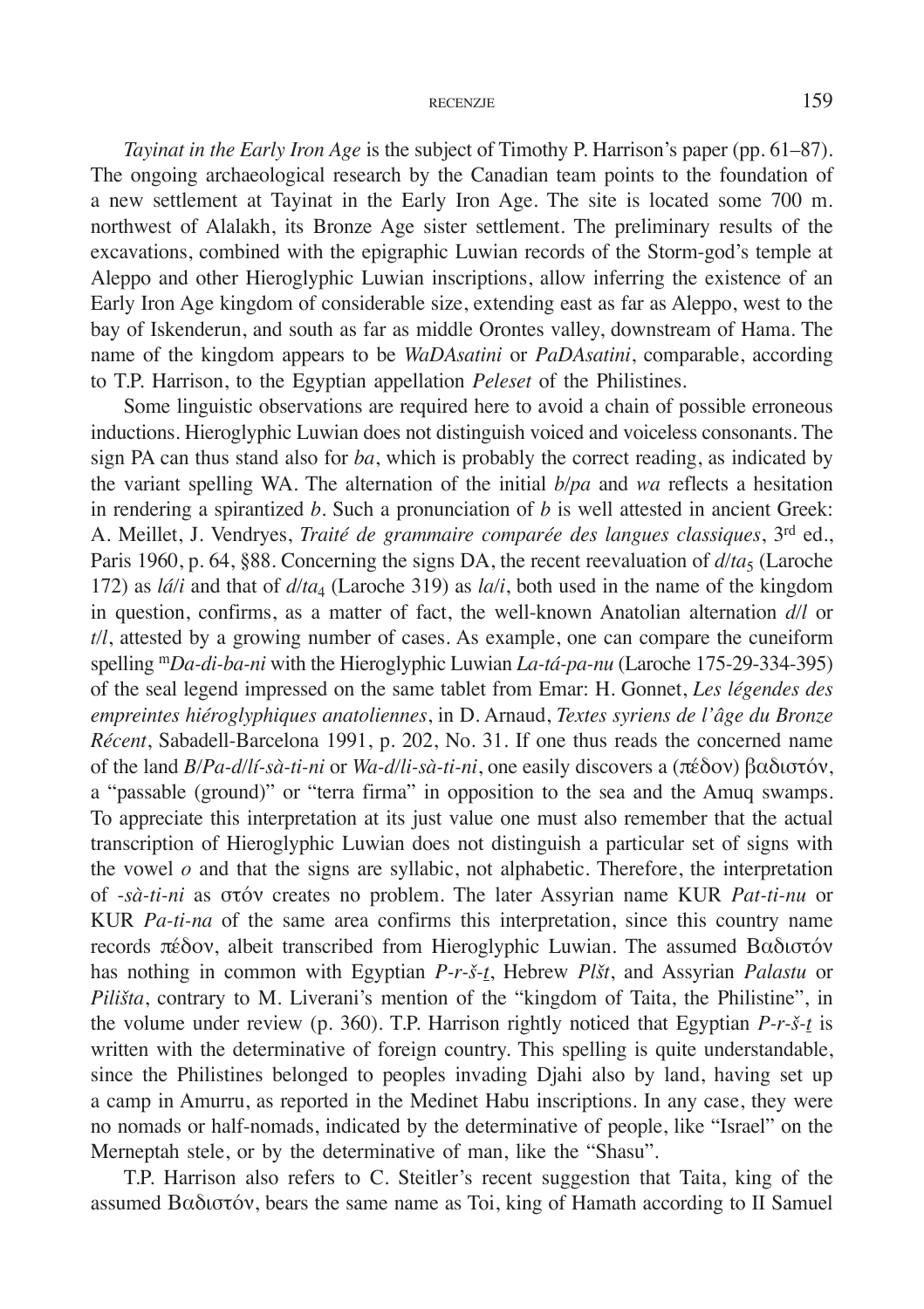*Tayinat in the Early Iron Age* is the subject of Timothy P. Harrison's paper (pp. 61–87). The ongoing archaeological research by the Canadian team points to the foundation of a new settlement at Tayinat in the Early Iron Age. The site is located some 700 m. northwest of Alalakh, its Bronze Age sister settlement. The preliminary results of the excavations, combined with the epigraphic Luwian records of the Storm-god's temple at Aleppo and other Hieroglyphic Luwian inscriptions, allow inferring the existence of an Early Iron Age kingdom of considerable size, extending east as far as Aleppo, west to the bay of Iskenderun, and south as far as middle Orontes valley, downstream of Hama. The name of the kingdom appears to be *WaDAsatini* or *PaDAsatini*, comparable, according to T.P. Harrison, to the Egyptian appellation *Peleset* of the Philistines.

Some linguistic observations are required here to avoid a chain of possible erroneous inductions. Hieroglyphic Luwian does not distinguish voiced and voiceless consonants. The sign PA can thus stand also for *ba*, which is probably the correct reading, as indicated by the variant spelling WA. The alternation of the initial *b/pa* and *wa* reflects a hesitation in rendering a spirantized *b*. Such a pronunciation of *b* is well attested in ancient Greek: A. Meillet, J. Vendryes, *Traité de grammaire comparée des langues classiques*, 3rd ed., Paris 1960, p. 64, §88. Concerning the signs DA, the recent reevaluation of  $d/a<sub>5</sub>$  (Laroche 172) as *lá/i* and that of *d/ta*4 (Laroche 319) as *la/i*, both used in the name of the kingdom in question, confirms, as a matter of fact, the well-known Anatolian alternation *d/l* or *t/l*, attested by a growing number of cases. As example, one can compare the cuneiform spelling m*Da-di-ba-ni* with the Hieroglyphic Luwian *La-tá-pa-nu* (Laroche 175-29-334-395) of the seal legend impressed on the same tablet from Emar: H. Gonnet, *Les légendes des empreintes hiéroglyphiques anatoliennes*, in D. Arnaud, *Textes syriens de l'âge du Bronze Récent*, Sabadell-Barcelona 1991, p. 202, No. 31. If one thus reads the concerned name of the land *B/Pa-d/lí-sà-ti-ni* or *Wa-d/li-sà-ti-ni*, one easily discovers a (πέδον) βαδιστόν, a "passable (ground)" or "terra firma" in opposition to the sea and the Amuq swamps. To appreciate this interpretation at its just value one must also remember that the actual transcription of Hieroglyphic Luwian does not distinguish a particular set of signs with the vowel *o* and that the signs are syllabic, not alphabetic. Therefore, the interpretation of -*sà-ti-ni* as στόν creates no problem. The later Assyrian name KUR *Pat-ti-nu* or KUR *Pa-ti-na* of the same area confirms this interpretation, since this country name records πέδον, albeit transcribed from Hieroglyphic Luwian. The assumed Βαδιστόν has nothing in common with Egyptian *P-r-š-t*, Hebrew *Plšt*, and Assyrian *Palastu* or *Pilišta*, contrary to M. Liverani's mention of the "kingdom of Taita, the Philistine", in the volume under review (p. 360). T.P. Harrison rightly noticed that Egyptian *P-r-š-t* is written with the determinative of foreign country. This spelling is quite understandable, since the Philistines belonged to peoples invading Djahi also by land, having set up a camp in Amurru, as reported in the Medinet Habu inscriptions. In any case, they were no nomads or half‑nomads, indicated by the determinative of people, like "Israel" on the Merneptah stele, or by the determinative of man, like the "Shasu".

T.P. Harrison also refers to C. Steitler's recent suggestion that Taita, king of the assumed Βαδιστόν, bears the same name as Toi, king of Hamath according to II Samuel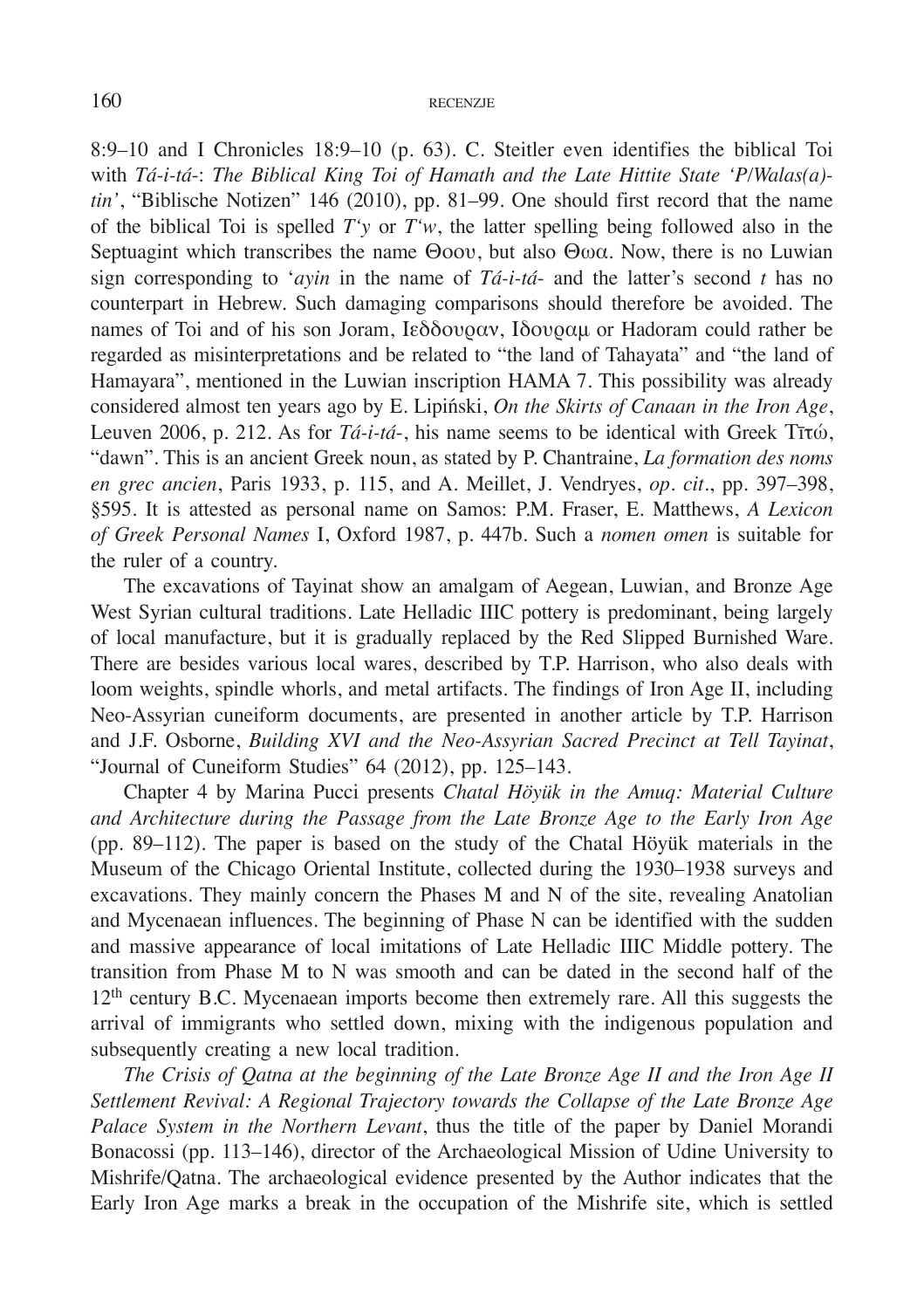8:9–10 and I Chronicles 18:9–10 (p. 63). C. Steitler even identifies the biblical Toi with *Tá-i-tá*-: *The Biblical King Toi of Hamath and the Late Hittite State 'P/Walas(a) tin'*, "Biblische Notizen" 146 (2010), pp. 81–99. One should first record that the name of the biblical Toi is spelled *T'y* or *T'w*, the latter spelling being followed also in the Septuagint which transcribes the name Θοου, but also Θωα. Now, there is no Luwian sign corresponding to '*ayin* in the name of *Tá-i-tá*- and the latter's second *t* has no counterpart in Hebrew. Such damaging comparisons should therefore be avoided. The names of Toi and of his son Joram, Ιεδδουραν, Ιδουραμ or Hadoram could rather be regarded as misinterpretations and be related to "the land of Tahayata" and "the land of Hamayara", mentioned in the Luwian inscription HAMA 7. This possibility was already considered almost ten years ago by E. Lipiński, *On the Skirts of Canaan in the Iron Age*, Leuven 2006, p. 212. As for *Tá-i-tá*-, his name seems to be identical with Greek Τīτώ, "dawn". This is an ancient Greek noun, as stated by P. Chantraine, *La formation des noms en grec ancien*, Paris 1933, p. 115, and A. Meillet, J. Vendryes, *op. cit*., pp. 397–398, §595. It is attested as personal name on Samos: P.M. Fraser, E. Matthews, *A Lexicon of Greek Personal Names* I, Oxford 1987, p. 447b. Such a *nomen omen* is suitable for the ruler of a country.

The excavations of Tayinat show an amalgam of Aegean, Luwian, and Bronze Age West Syrian cultural traditions. Late Helladic IIIC pottery is predominant, being largely of local manufacture, but it is gradually replaced by the Red Slipped Burnished Ware. There are besides various local wares, described by T.P. Harrison, who also deals with loom weights, spindle whorls, and metal artifacts. The findings of Iron Age II, including Neo-Assyrian cuneiform documents, are presented in another article by T.P. Harrison and J.F. Osborne, *Building XVI and the Neo-Assyrian Sacred Precinct at Tell Tayinat*, "Journal of Cuneiform Studies" 64 (2012), pp. 125–143.

Chapter 4 by Marina Pucci presents *Chatal Höyük in the Amuq: Material Culture and Architecture during the Passage from the Late Bronze Age to the Early Iron Age* (pp. 89–112). The paper is based on the study of the Chatal Höyük materials in the Museum of the Chicago Oriental Institute, collected during the 1930–1938 surveys and excavations. They mainly concern the Phases M and N of the site, revealing Anatolian and Mycenaean influences. The beginning of Phase N can be identified with the sudden and massive appearance of local imitations of Late Helladic IIIC Middle pottery. The transition from Phase M to N was smooth and can be dated in the second half of the 12th century B.C. Mycenaean imports become then extremely rare. All this suggests the arrival of immigrants who settled down, mixing with the indigenous population and subsequently creating a new local tradition.

*The Crisis of Qatna at the beginning of the Late Bronze Age II and the Iron Age II Settlement Revival: A Regional Trajectory towards the Collapse of the Late Bronze Age Palace System in the Northern Levant*, thus the title of the paper by Daniel Morandi Bonacossi (pp. 113–146), director of the Archaeological Mission of Udine University to Mishrife/Qatna. The archaeological evidence presented by the Author indicates that the Early Iron Age marks a break in the occupation of the Mishrife site, which is settled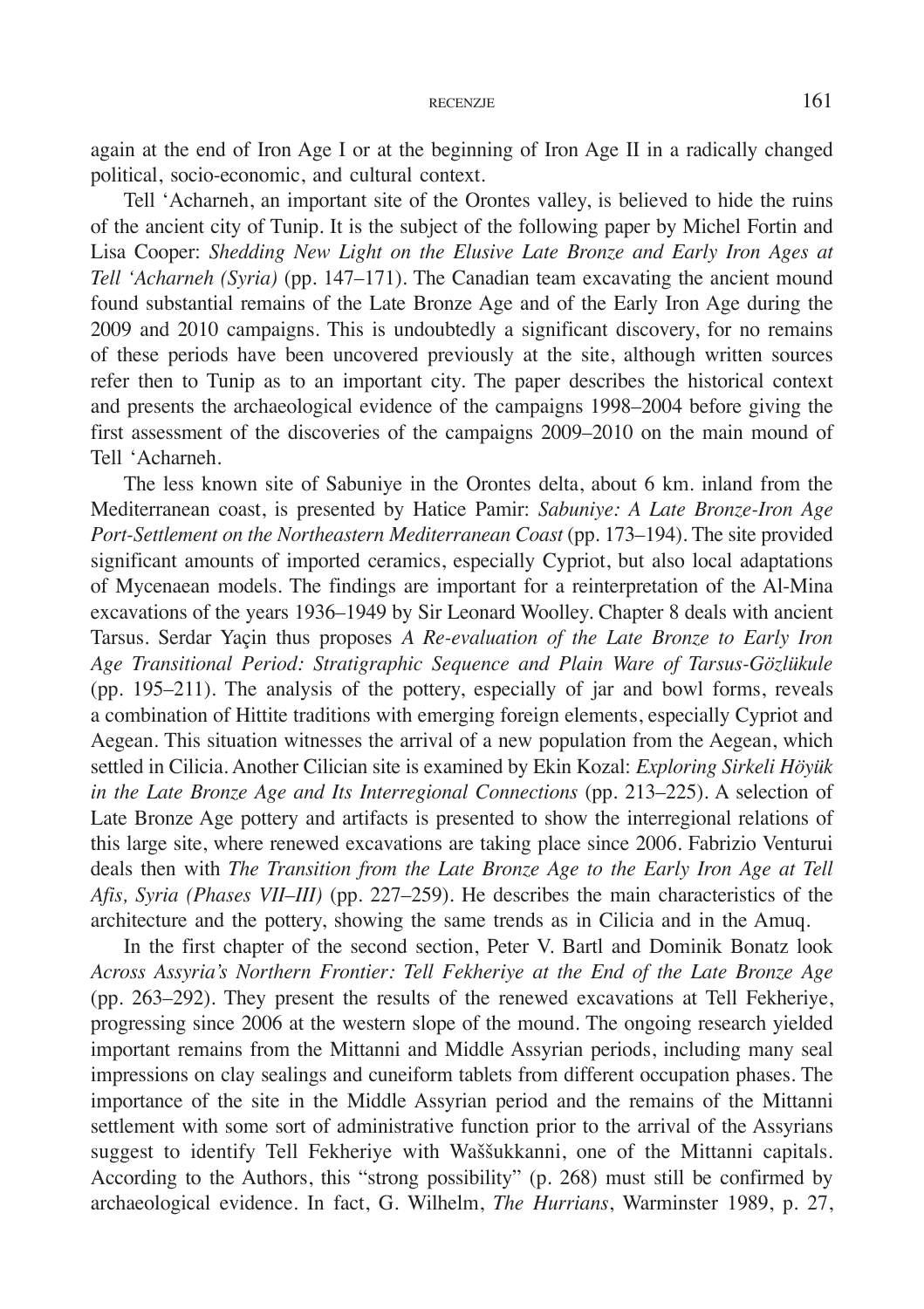again at the end of Iron Age I or at the beginning of Iron Age II in a radically changed political, socio-economic, and cultural context.

Tell 'Acharneh, an important site of the Orontes valley, is believed to hide the ruins of the ancient city of Tunip. It is the subject of the following paper by Michel Fortin and Lisa Cooper: *Shedding New Light on the Elusive Late Bronze and Early Iron Ages at Tell 'Acharneh (Syria)* (pp. 147–171). The Canadian team excavating the ancient mound found substantial remains of the Late Bronze Age and of the Early Iron Age during the 2009 and 2010 campaigns. This is undoubtedly a significant discovery, for no remains of these periods have been uncovered previously at the site, although written sources refer then to Tunip as to an important city. The paper describes the historical context and presents the archaeological evidence of the campaigns 1998–2004 before giving the first assessment of the discoveries of the campaigns 2009–2010 on the main mound of Tell 'Acharneh.

The less known site of Sabuniye in the Orontes delta, about 6 km. inland from the Mediterranean coast, is presented by Hatice Pamir: *Sabuniye: A Late Bronze-Iron Age Port-Settlement on the Northeastern Mediterranean Coast* (pp. 173–194). The site provided significant amounts of imported ceramics, especially Cypriot, but also local adaptations of Mycenaean models. The findings are important for a reinterpretation of the Al-Mina excavations of the years 1936–1949 by Sir Leonard Woolley. Chapter 8 deals with ancient Tarsus. Serdar Yaçin thus proposes *A Re-evaluation of the Late Bronze to Early Iron Age Transitional Period: Stratigraphic Sequence and Plain Ware of Tarsus-Gözlükule* (pp. 195–211). The analysis of the pottery, especially of jar and bowl forms, reveals a combination of Hittite traditions with emerging foreign elements, especially Cypriot and Aegean. This situation witnesses the arrival of a new population from the Aegean, which settled in Cilicia. Another Cilician site is examined by Ekin Kozal: *Exploring Sirkeli Höyük in the Late Bronze Age and Its Interregional Connections* (pp. 213–225). A selection of Late Bronze Age pottery and artifacts is presented to show the interregional relations of this large site, where renewed excavations are taking place since 2006. Fabrizio Venturui deals then with *The Transition from the Late Bronze Age to the Early Iron Age at Tell Afis, Syria (Phases VII–III)* (pp. 227–259). He describes the main characteristics of the architecture and the pottery, showing the same trends as in Cilicia and in the Amuq.

In the first chapter of the second section, Peter V. Bartl and Dominik Bonatz look *Across Assyria's Northern Frontier: Tell Fekheriye at the End of the Late Bronze Age* (pp. 263–292). They present the results of the renewed excavations at Tell Fekheriye, progressing since 2006 at the western slope of the mound. The ongoing research yielded important remains from the Mittanni and Middle Assyrian periods, including many seal impressions on clay sealings and cuneiform tablets from different occupation phases. The importance of the site in the Middle Assyrian period and the remains of the Mittanni settlement with some sort of administrative function prior to the arrival of the Assyrians suggest to identify Tell Fekheriye with Waššukkanni, one of the Mittanni capitals. According to the Authors, this "strong possibility" (p. 268) must still be confirmed by archaeological evidence. In fact, G. Wilhelm, *The Hurrians*, Warminster 1989, p. 27,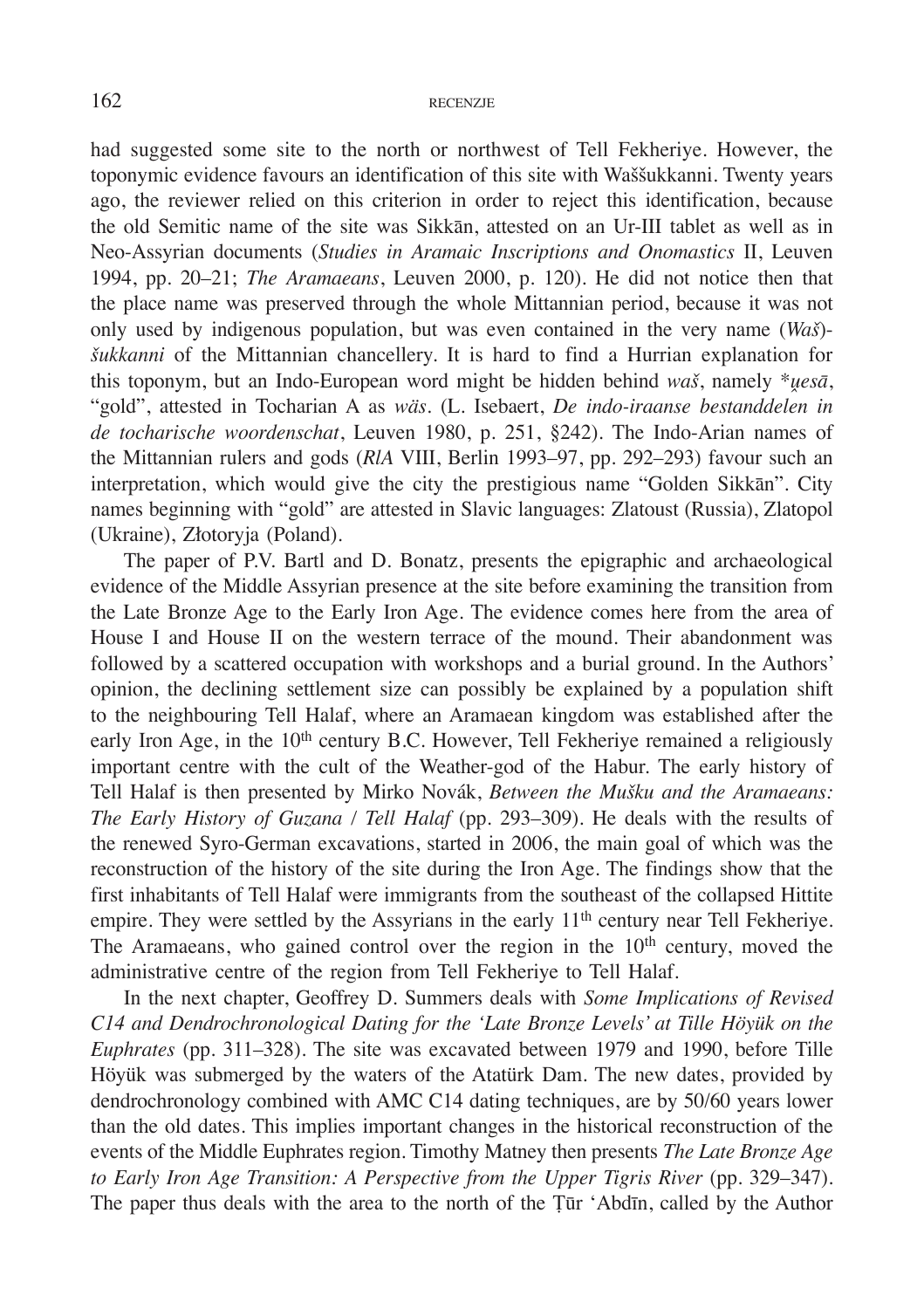had suggested some site to the north or northwest of Tell Fekheriye. However, the toponymic evidence favours an identification of this site with Waššukkanni. Twenty years ago, the reviewer relied on this criterion in order to reject this identification, because the old Semitic name of the site was Sikkān, attested on an Ur-III tablet as well as in Neo-Assyrian documents (*Studies in Aramaic Inscriptions and Onomastics* II, Leuven 1994, pp. 20–21; *The Aramaeans*, Leuven 2000, p. 120). He did not notice then that the place name was preserved through the whole Mittannian period, because it was not only used by indigenous population, but was even contained in the very name (*Waš*) *šukkanni* of the Mittannian chancellery. It is hard to find a Hurrian explanation for this toponym, but an Indo-European word might be hidden behind *waš*, namely \**ṷesā*, "gold", attested in Tocharian A as *wäs*. (L. Isebaert, *De indo-iraanse bestanddelen in de tocharische woordenschat*, Leuven 1980, p. 251, §242). The Indo-Arian names of the Mittannian rulers and gods (*RlA* VIII, Berlin 1993–97, pp. 292–293) favour such an interpretation, which would give the city the prestigious name "Golden Sikkān". City names beginning with "gold" are attested in Slavic languages: Zlatoust (Russia), Zlatopol (Ukraine), Złotoryja (Poland).

The paper of P.V. Bartl and D. Bonatz, presents the epigraphic and archaeological evidence of the Middle Assyrian presence at the site before examining the transition from the Late Bronze Age to the Early Iron Age. The evidence comes here from the area of House I and House II on the western terrace of the mound. Their abandonment was followed by a scattered occupation with workshops and a burial ground. In the Authors' opinion, the declining settlement size can possibly be explained by a population shift to the neighbouring Tell Halaf, where an Aramaean kingdom was established after the early Iron Age, in the 10<sup>th</sup> century B.C. However, Tell Fekheriye remained a religiously important centre with the cult of the Weather-god of the Habur. The early history of Tell Halaf is then presented by Mirko Novák, *Between the Mušku and the Aramaeans: The Early History of Guzana / Tell Halaf* (pp. 293–309). He deals with the results of the renewed Syro-German excavations, started in 2006, the main goal of which was the reconstruction of the history of the site during the Iron Age. The findings show that the first inhabitants of Tell Halaf were immigrants from the southeast of the collapsed Hittite empire. They were settled by the Assyrians in the early 11<sup>th</sup> century near Tell Fekheriye. The Aramaeans, who gained control over the region in the 10<sup>th</sup> century, moved the administrative centre of the region from Tell Fekheriye to Tell Halaf.

In the next chapter, Geoffrey D. Summers deals with *Some Implications of Revised C14 and Dendrochronological Dating for the 'Late Bronze Levels' at Tille Höyük on the Euphrates* (pp. 311–328). The site was excavated between 1979 and 1990, before Tille Höyük was submerged by the waters of the Atatürk Dam. The new dates, provided by dendrochronology combined with AMC C14 dating techniques, are by 50/60 years lower than the old dates. This implies important changes in the historical reconstruction of the events of the Middle Euphrates region. Timothy Matney then presents *The Late Bronze Age to Early Iron Age Transition: A Perspective from the Upper Tigris River* (pp. 329–347). The paper thus deals with the area to the north of the Ṭūr 'Abdīn, called by the Author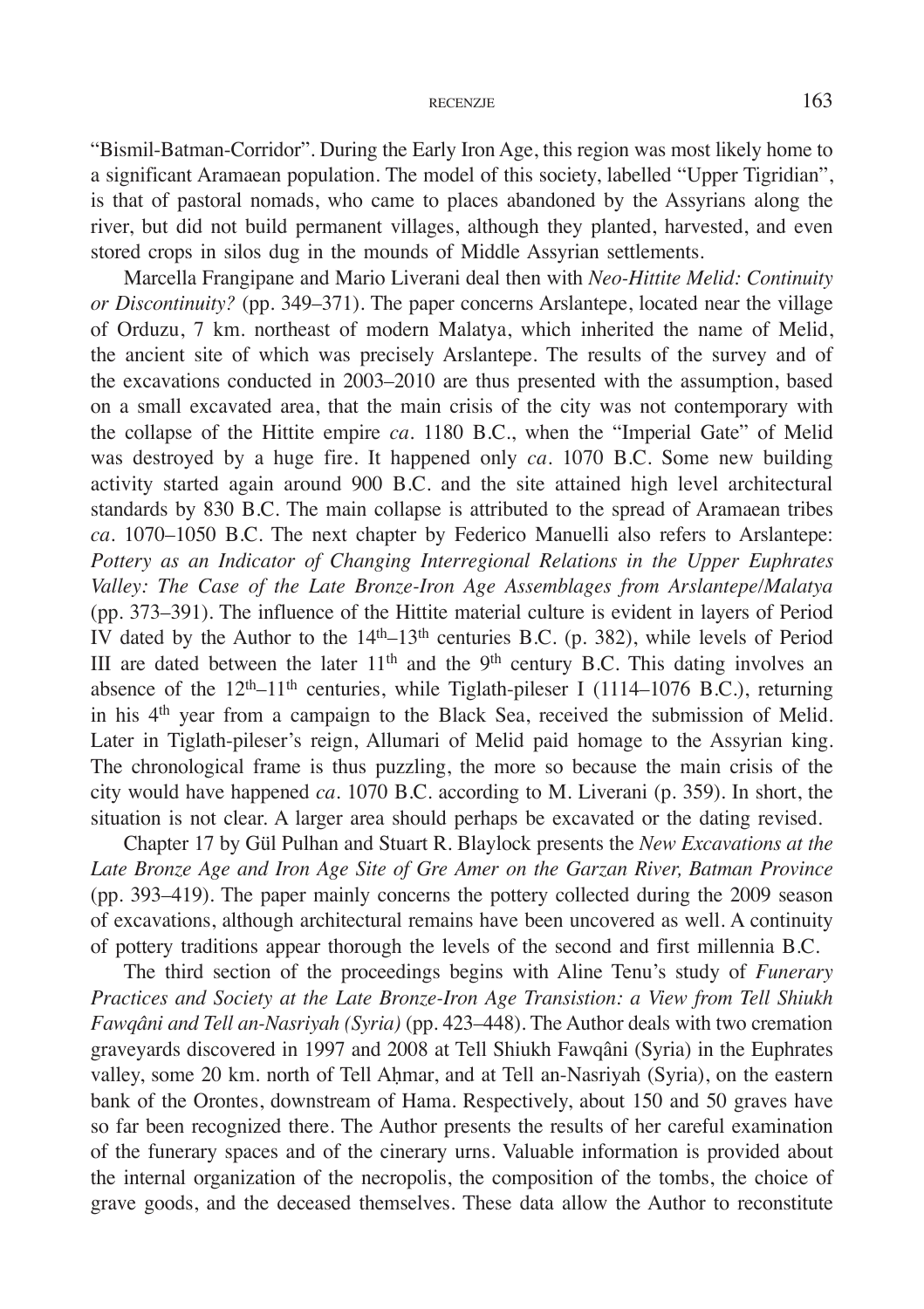"Bismil-Batman-Corridor". During the Early Iron Age, this region was most likely home to a significant Aramaean population. The model of this society, labelled "Upper Tigridian", is that of pastoral nomads, who came to places abandoned by the Assyrians along the river, but did not build permanent villages, although they planted, harvested, and even stored crops in silos dug in the mounds of Middle Assyrian settlements.

Marcella Frangipane and Mario Liverani deal then with *Neo-Hittite Melid: Continuity or Discontinuity?* (pp. 349–371). The paper concerns Arslantepe, located near the village of Orduzu, 7 km. northeast of modern Malatya, which inherited the name of Melid, the ancient site of which was precisely Arslantepe. The results of the survey and of the excavations conducted in 2003–2010 are thus presented with the assumption, based on a small excavated area, that the main crisis of the city was not contemporary with the collapse of the Hittite empire *ca*. 1180 B.C., when the "Imperial Gate" of Melid was destroyed by a huge fire. It happened only *ca*. 1070 B.C. Some new building activity started again around 900 B.C. and the site attained high level architectural standards by 830 B.C. The main collapse is attributed to the spread of Aramaean tribes *ca*. 1070–1050 B.C. The next chapter by Federico Manuelli also refers to Arslantepe: *Pottery as an Indicator of Changing Interregional Relations in the Upper Euphrates Valley: The Case of the Late Bronze-Iron Age Assemblages from Arslantepe/Malatya* (pp. 373–391). The influence of the Hittite material culture is evident in layers of Period IV dated by the Author to the  $14<sup>th</sup>-13<sup>th</sup>$  centuries B.C. (p. 382), while levels of Period III are dated between the later  $11<sup>th</sup>$  and the 9<sup>th</sup> century B.C. This dating involves an absence of the  $12<sup>th</sup>-11<sup>th</sup>$  centuries, while Tiglath-pileser I (1114–1076 B.C.), returning in his  $4<sup>th</sup>$  year from a campaign to the Black Sea, received the submission of Melid. Later in Tiglath-pileser's reign, Allumari of Melid paid homage to the Assyrian king. The chronological frame is thus puzzling, the more so because the main crisis of the city would have happened *ca*. 1070 B.C. according to M. Liverani (p. 359). In short, the situation is not clear. A larger area should perhaps be excavated or the dating revised.

Chapter 17 by Gül Pulhan and Stuart R. Blaylock presents the *New Excavations at the Late Bronze Age and Iron Age Site of Gre Amer on the Garzan River, Batman Province* (pp. 393–419). The paper mainly concerns the pottery collected during the 2009 season of excavations, although architectural remains have been uncovered as well. A continuity of pottery traditions appear thorough the levels of the second and first millennia B.C.

The third section of the proceedings begins with Aline Tenu's study of *Funerary Practices and Society at the Late Bronze-Iron Age Transistion: a View from Tell Shiukh Fawqâni and Tell an-Nasriyah (Syria)* (pp. 423–448). The Author deals with two cremation graveyards discovered in 1997 and 2008 at Tell Shiukh Fawqâni (Syria) in the Euphrates valley, some 20 km. north of Tell Ahmar, and at Tell an-Nasriyah (Syria), on the eastern bank of the Orontes, downstream of Hama. Respectively, about 150 and 50 graves have so far been recognized there. The Author presents the results of her careful examination of the funerary spaces and of the cinerary urns. Valuable information is provided about the internal organization of the necropolis, the composition of the tombs, the choice of grave goods, and the deceased themselves. These data allow the Author to reconstitute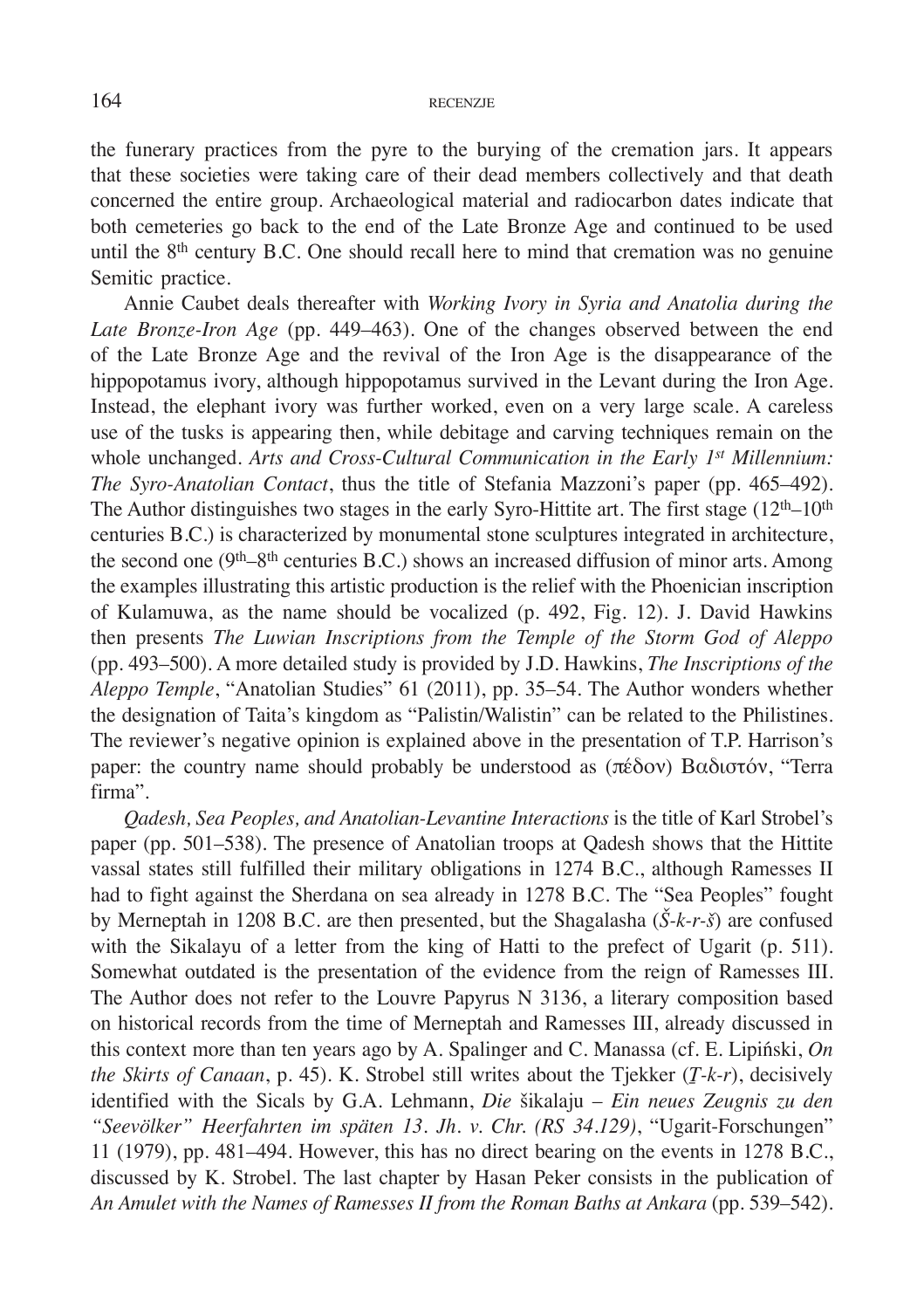the funerary practices from the pyre to the burying of the cremation jars. It appears that these societies were taking care of their dead members collectively and that death concerned the entire group. Archaeological material and radiocarbon dates indicate that both cemeteries go back to the end of the Late Bronze Age and continued to be used until the  $8<sup>th</sup>$  century B.C. One should recall here to mind that cremation was no genuine Semitic practice.

Annie Caubet deals thereafter with *Working Ivory in Syria and Anatolia during the Late Bronze-Iron Age* (pp. 449–463). One of the changes observed between the end of the Late Bronze Age and the revival of the Iron Age is the disappearance of the hippopotamus ivory, although hippopotamus survived in the Levant during the Iron Age. Instead, the elephant ivory was further worked, even on a very large scale. A careless use of the tusks is appearing then, while debitage and carving techniques remain on the whole unchanged. *Arts and Cross-Cultural Communication in the Early 1<sup>st</sup> Millennium: The Syro-Anatolian Contact*, thus the title of Stefania Mazzoni's paper (pp. 465–492). The Author distinguishes two stages in the early Syro-Hittite art. The first stage  $(12<sup>th</sup>-10<sup>th</sup>)$ centuries B.C.) is characterized by monumental stone sculptures integrated in architecture, the second one (9<sup>th</sup>–8<sup>th</sup> centuries B.C.) shows an increased diffusion of minor arts. Among the examples illustrating this artistic production is the relief with the Phoenician inscription of Kulamuwa, as the name should be vocalized (p. 492, Fig. 12). J. David Hawkins then presents *The Luwian Inscriptions from the Temple of the Storm God of Aleppo* (pp. 493–500). A more detailed study is provided by J.D. Hawkins, *The Inscriptions of the Aleppo Temple*, "Anatolian Studies" 61 (2011), pp. 35–54. The Author wonders whether the designation of Taita's kingdom as "Palistin/Walistin" can be related to the Philistines. The reviewer's negative opinion is explained above in the presentation of T.P. Harrison's paper: the country name should probably be understood as  $(\pi \&\delta \text{ov})$  Βαδιστόν, "Terra firma".

*Qadesh, Sea Peoples, and Anatolian-Levantine Interactions* is the title of Karl Strobel's paper (pp. 501–538). The presence of Anatolian troops at Qadesh shows that the Hittite vassal states still fulfilled their military obligations in 1274 B.C., although Ramesses II had to fight against the Sherdana on sea already in 1278 B.C. The "Sea Peoples" fought by Merneptah in 1208 B.C. are then presented, but the Shagalasha (*Š-k-r-š*) are confused with the Sikalayu of a letter from the king of Hatti to the prefect of Ugarit (p. 511). Somewhat outdated is the presentation of the evidence from the reign of Ramesses III. The Author does not refer to the Louvre Papyrus N 3136, a literary composition based on historical records from the time of Merneptah and Ramesses III, already discussed in this context more than ten years ago by A. Spalinger and C. Manassa (cf. E. Lipiński, *On the Skirts of Canaan*, p. 45). K. Strobel still writes about the Tjekker (*Ṯ-k-r*), decisively identified with the Sicals by G.A. Lehmann, *Die* šikalaju – *Ein neues Zeugnis zu den "Seevölker" Heerfahrten im späten 13. Jh. v. Chr. (RS 34.129)*, "Ugarit-Forschungen" 11 (1979), pp. 481–494. However, this has no direct bearing on the events in 1278 B.C., discussed by K. Strobel. The last chapter by Hasan Peker consists in the publication of *An Amulet with the Names of Ramesses II from the Roman Baths at Ankara* (pp. 539–542).